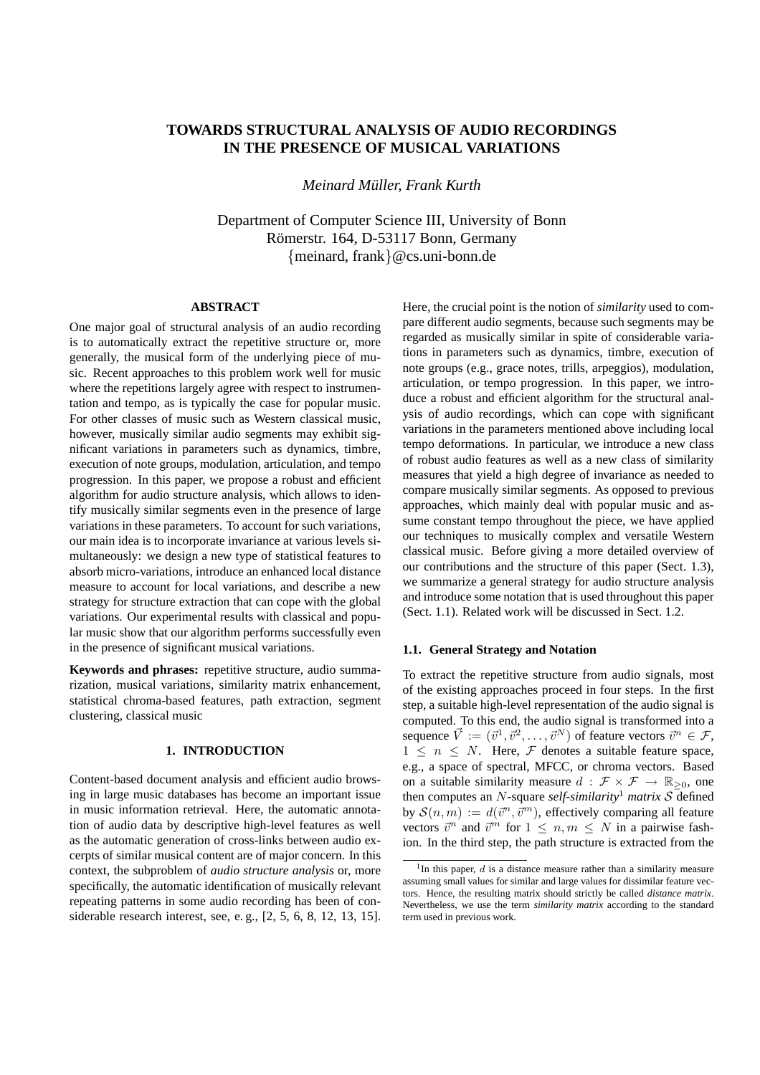# **TOWARDS STRUCTURAL ANALYSIS OF AUDIO RECORDINGS IN THE PRESENCE OF MUSICAL VARIATIONS**

*Meinard Muller, Frank Kurth ¨*

Department of Computer Science III, University of Bonn Römerstr. 164, D-53117 Bonn, Germany {meinard, frank}@cs.uni-bonn.de

### **ABSTRACT**

One major goal of structural analysis of an audio recording is to automatically extract the repetitive structure or, more generally, the musical form of the underlying piece of music. Recent approaches to this problem work well for music where the repetitions largely agree with respect to instrumentation and tempo, as is typically the case for popular music. For other classes of music such as Western classical music, however, musically similar audio segments may exhibit significant variations in parameters such as dynamics, timbre, execution of note groups, modulation, articulation, and tempo progression. In this paper, we propose a robust and efficient algorithm for audio structure analysis, which allows to identify musically similar segments even in the presence of large variations in these parameters. To account for such variations, our main idea is to incorporate invariance at various levels simultaneously: we design a new type of statistical features to absorb micro-variations, introduce an enhanced local distance measure to account for local variations, and describe a new strategy for structure extraction that can cope with the global variations. Our experimental results with classical and popular music show that our algorithm performs successfully even in the presence of significant musical variations.

**Keywords and phrases:** repetitive structure, audio summarization, musical variations, similarity matrix enhancement, statistical chroma-based features, path extraction, segment clustering, classical music

#### **1. INTRODUCTION**

Content-based document analysis and efficient audio browsing in large music databases has become an important issue in music information retrieval. Here, the automatic annotation of audio data by descriptive high-level features as well as the automatic generation of cross-links between audio excerpts of similar musical content are of major concern. In this context, the subproblem of *audio structure analysis* or, more specifically, the automatic identification of musically relevant repeating patterns in some audio recording has been of considerable research interest, see, e. g., [2, 5, 6, 8, 12, 13, 15].

Here, the crucial point is the notion of *similarity* used to compare different audio segments, because such segments may be regarded as musically similar in spite of considerable variations in parameters such as dynamics, timbre, execution of note groups (e.g., grace notes, trills, arpeggios), modulation, articulation, or tempo progression. In this paper, we introduce a robust and efficient algorithm for the structural analysis of audio recordings, which can cope with significant variations in the parameters mentioned above including local tempo deformations. In particular, we introduce a new class of robust audio features as well as a new class of similarity measures that yield a high degree of invariance as needed to compare musically similar segments. As opposed to previous approaches, which mainly deal with popular music and assume constant tempo throughout the piece, we have applied our techniques to musically complex and versatile Western classical music. Before giving a more detailed overview of our contributions and the structure of this paper (Sect. 1.3), we summarize a general strategy for audio structure analysis and introduce some notation that is used throughout this paper (Sect. 1.1). Related work will be discussed in Sect. 1.2.

### **1.1. General Strategy and Notation**

To extract the repetitive structure from audio signals, most of the existing approaches proceed in four steps. In the first step, a suitable high-level representation of the audio signal is computed. To this end, the audio signal is transformed into a sequence  $\vec{V} := (\vec{v}^1, \vec{v}^2, \dots, \vec{v}^N)$  of feature vectors  $\vec{v}^n \in \mathcal{F}$ ,  $1 \leq n \leq N$ . Here, *F* denotes a suitable feature space, e.g., a space of spectral, MFCC, or chroma vectors. Based on a suitable similarity measure  $d : \mathcal{F} \times \mathcal{F} \rightarrow \mathbb{R}_{\geq 0}$ , one then computes an N-square *self-similarity*<sup>1</sup> *matrix* S defined by  $\mathcal{S}(n,m) := d(\vec{v}^n, \vec{v}^m)$ , effectively comparing all feature vectors  $\vec{v}^n$  and  $\vec{v}^m$  for  $1 \leq n, m \leq N$  in a pairwise fashion. In the third step, the path structure is extracted from the

<sup>&</sup>lt;sup>1</sup>In this paper,  $d$  is a distance measure rather than a similarity measure assuming small values for similar and large values for dissimilar feature vectors. Hence, the resulting matrix should strictly be called *distance matrix*. Nevertheless, we use the term *similarity matrix* according to the standard term used in previous work.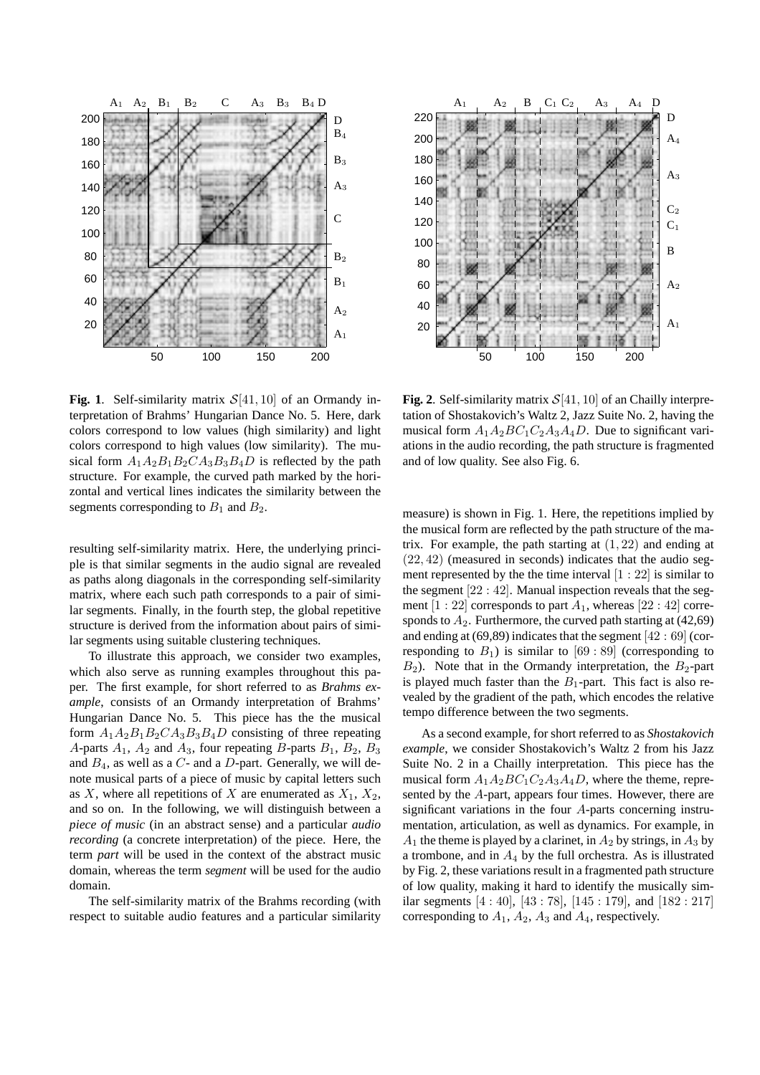



**Fig. 1.** Self-similarity matrix  $S[41, 10]$  of an Ormandy interpretation of Brahms' Hungarian Dance No. 5. Here, dark colors correspond to low values (high similarity) and light colors correspond to high values (low similarity). The musical form  $A_1A_2B_1B_2CA_3B_3B_4D$  is reflected by the path structure. For example, the curved path marked by the horizontal and vertical lines indicates the similarity between the segments corresponding to  $B_1$  and  $B_2$ .

resulting self-similarity matrix. Here, the underlying principle is that similar segments in the audio signal are revealed as paths along diagonals in the corresponding self-similarity matrix, where each such path corresponds to a pair of similar segments. Finally, in the fourth step, the global repetitive structure is derived from the information about pairs of similar segments using suitable clustering techniques.

To illustrate this approach, we consider two examples, which also serve as running examples throughout this paper. The first example, for short referred to as *Brahms example*, consists of an Ormandy interpretation of Brahms' Hungarian Dance No. 5. This piece has the the musical form  $A_1A_2B_1B_2CA_3B_3B_4D$  consisting of three repeating A-parts  $A_1$ ,  $A_2$  and  $A_3$ , four repeating B-parts  $B_1$ ,  $B_2$ ,  $B_3$ and  $B_4$ , as well as a  $C$ - and a  $D$ -part. Generally, we will denote musical parts of a piece of music by capital letters such as X, where all repetitions of X are enumerated as  $X_1, X_2,$ and so on. In the following, we will distinguish between a *piece of music* (in an abstract sense) and a particular *audio recording* (a concrete interpretation) of the piece. Here, the term *part* will be used in the context of the abstract music domain, whereas the term *segment* will be used for the audio domain.

The self-similarity matrix of the Brahms recording (with respect to suitable audio features and a particular similarity

**Fig. 2.** Self-similarity matrix  $S(41, 10)$  of an Chailly interpretation of Shostakovich's Waltz 2, Jazz Suite No. 2, having the musical form  $A_1A_2BC_1C_2A_3A_4D$ . Due to significant variations in the audio recording, the path structure is fragmented and of low quality. See also Fig. 6.

measure) is shown in Fig. 1. Here, the repetitions implied by the musical form are reflected by the path structure of the matrix. For example, the path starting at  $(1, 22)$  and ending at (22, 42) (measured in seconds) indicates that the audio segment represented by the the time interval  $[1:22]$  is similar to the segment [22 : 42]. Manual inspection reveals that the segment  $[1:22]$  corresponds to part  $A_1$ , whereas  $[22:42]$  corresponds to  $A_2$ . Furthermore, the curved path starting at (42,69) and ending at (69,89) indicates that the segment [42 : 69] (corresponding to  $B_1$ ) is similar to [69 : 89] (corresponding to  $B_2$ ). Note that in the Ormandy interpretation, the  $B_2$ -part is played much faster than the  $B_1$ -part. This fact is also revealed by the gradient of the path, which encodes the relative tempo difference between the two segments.

As a second example, for short referred to as *Shostakovich example*, we consider Shostakovich's Waltz 2 from his Jazz Suite No. 2 in a Chailly interpretation. This piece has the musical form  $A_1A_2BC_1C_2A_3A_4D$ , where the theme, represented by the A-part, appears four times. However, there are significant variations in the four A-parts concerning instrumentation, articulation, as well as dynamics. For example, in  $A_1$  the theme is played by a clarinet, in  $A_2$  by strings, in  $A_3$  by a trombone, and in  $A_4$  by the full orchestra. As is illustrated by Fig. 2, these variations result in a fragmented path structure of low quality, making it hard to identify the musically similar segments  $[4:40]$ ,  $[43:78]$ ,  $[145:179]$ , and  $[182:217]$ corresponding to  $A_1$ ,  $A_2$ ,  $A_3$  and  $A_4$ , respectively.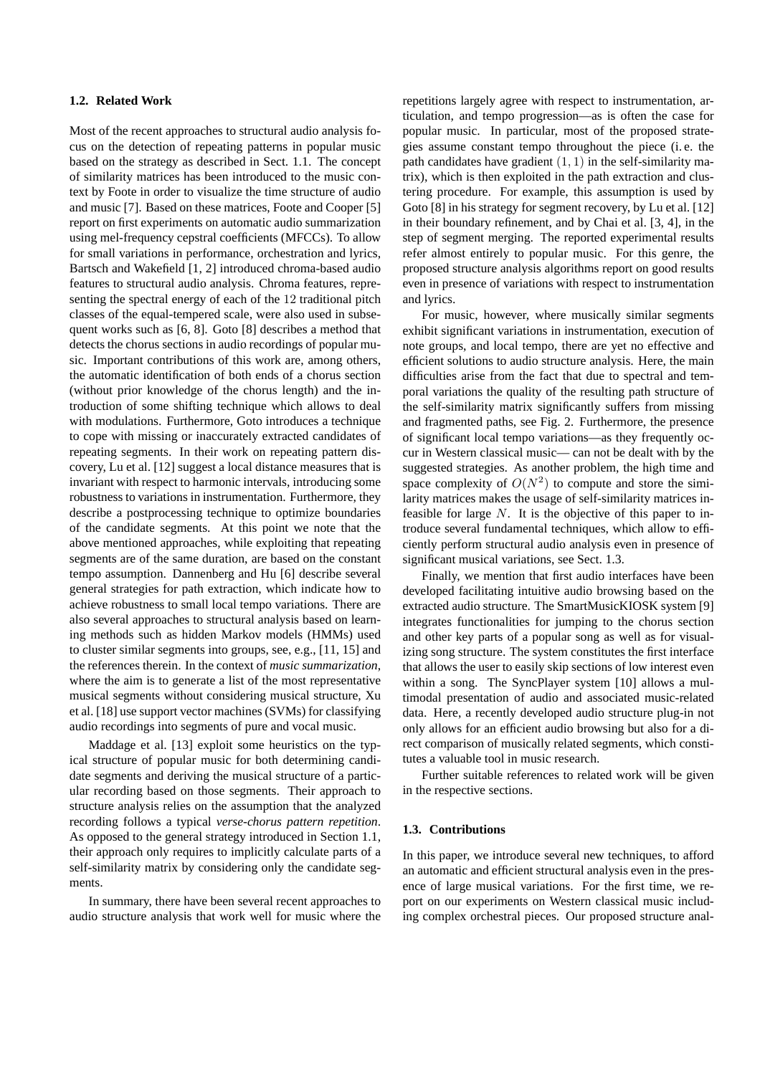### **1.2. Related Work**

Most of the recent approaches to structural audio analysis focus on the detection of repeating patterns in popular music based on the strategy as described in Sect. 1.1. The concept of similarity matrices has been introduced to the music context by Foote in order to visualize the time structure of audio and music [7]. Based on these matrices, Foote and Cooper [5] report on first experiments on automatic audio summarization using mel-frequency cepstral coefficients (MFCCs). To allow for small variations in performance, orchestration and lyrics, Bartsch and Wakefield [1, 2] introduced chroma-based audio features to structural audio analysis. Chroma features, representing the spectral energy of each of the 12 traditional pitch classes of the equal-tempered scale, were also used in subsequent works such as [6, 8]. Goto [8] describes a method that detects the chorus sections in audio recordings of popular music. Important contributions of this work are, among others, the automatic identification of both ends of a chorus section (without prior knowledge of the chorus length) and the introduction of some shifting technique which allows to deal with modulations. Furthermore, Goto introduces a technique to cope with missing or inaccurately extracted candidates of repeating segments. In their work on repeating pattern discovery, Lu et al. [12] suggest a local distance measures that is invariant with respect to harmonic intervals, introducing some robustness to variations in instrumentation. Furthermore, they describe a postprocessing technique to optimize boundaries of the candidate segments. At this point we note that the above mentioned approaches, while exploiting that repeating segments are of the same duration, are based on the constant tempo assumption. Dannenberg and Hu [6] describe several general strategies for path extraction, which indicate how to achieve robustness to small local tempo variations. There are also several approaches to structural analysis based on learning methods such as hidden Markov models (HMMs) used to cluster similar segments into groups, see, e.g., [11, 15] and the references therein. In the context of *music summarization*, where the aim is to generate a list of the most representative musical segments without considering musical structure, Xu et al. [18] use support vector machines (SVMs) for classifying audio recordings into segments of pure and vocal music.

Maddage et al. [13] exploit some heuristics on the typical structure of popular music for both determining candidate segments and deriving the musical structure of a particular recording based on those segments. Their approach to structure analysis relies on the assumption that the analyzed recording follows a typical *verse-chorus pattern repetition*. As opposed to the general strategy introduced in Section 1.1, their approach only requires to implicitly calculate parts of a self-similarity matrix by considering only the candidate segments.

In summary, there have been several recent approaches to audio structure analysis that work well for music where the repetitions largely agree with respect to instrumentation, articulation, and tempo progression—as is often the case for popular music. In particular, most of the proposed strategies assume constant tempo throughout the piece (i. e. the path candidates have gradient  $(1, 1)$  in the self-similarity matrix), which is then exploited in the path extraction and clustering procedure. For example, this assumption is used by Goto [8] in his strategy for segment recovery, by Lu et al. [12] in their boundary refinement, and by Chai et al. [3, 4], in the step of segment merging. The reported experimental results refer almost entirely to popular music. For this genre, the proposed structure analysis algorithms report on good results even in presence of variations with respect to instrumentation and lyrics.

For music, however, where musically similar segments exhibit significant variations in instrumentation, execution of note groups, and local tempo, there are yet no effective and efficient solutions to audio structure analysis. Here, the main difficulties arise from the fact that due to spectral and temporal variations the quality of the resulting path structure of the self-similarity matrix significantly suffers from missing and fragmented paths, see Fig. 2. Furthermore, the presence of significant local tempo variations—as they frequently occur in Western classical music— can not be dealt with by the suggested strategies. As another problem, the high time and space complexity of  $O(N^2)$  to compute and store the similarity matrices makes the usage of self-similarity matrices infeasible for large  $N$ . It is the objective of this paper to introduce several fundamental techniques, which allow to efficiently perform structural audio analysis even in presence of significant musical variations, see Sect. 1.3.

Finally, we mention that first audio interfaces have been developed facilitating intuitive audio browsing based on the extracted audio structure. The SmartMusicKIOSK system [9] integrates functionalities for jumping to the chorus section and other key parts of a popular song as well as for visualizing song structure. The system constitutes the first interface that allows the user to easily skip sections of low interest even within a song. The SyncPlayer system [10] allows a multimodal presentation of audio and associated music-related data. Here, a recently developed audio structure plug-in not only allows for an efficient audio browsing but also for a direct comparison of musically related segments, which constitutes a valuable tool in music research.

Further suitable references to related work will be given in the respective sections.

### **1.3. Contributions**

In this paper, we introduce several new techniques, to afford an automatic and efficient structural analysis even in the presence of large musical variations. For the first time, we report on our experiments on Western classical music including complex orchestral pieces. Our proposed structure anal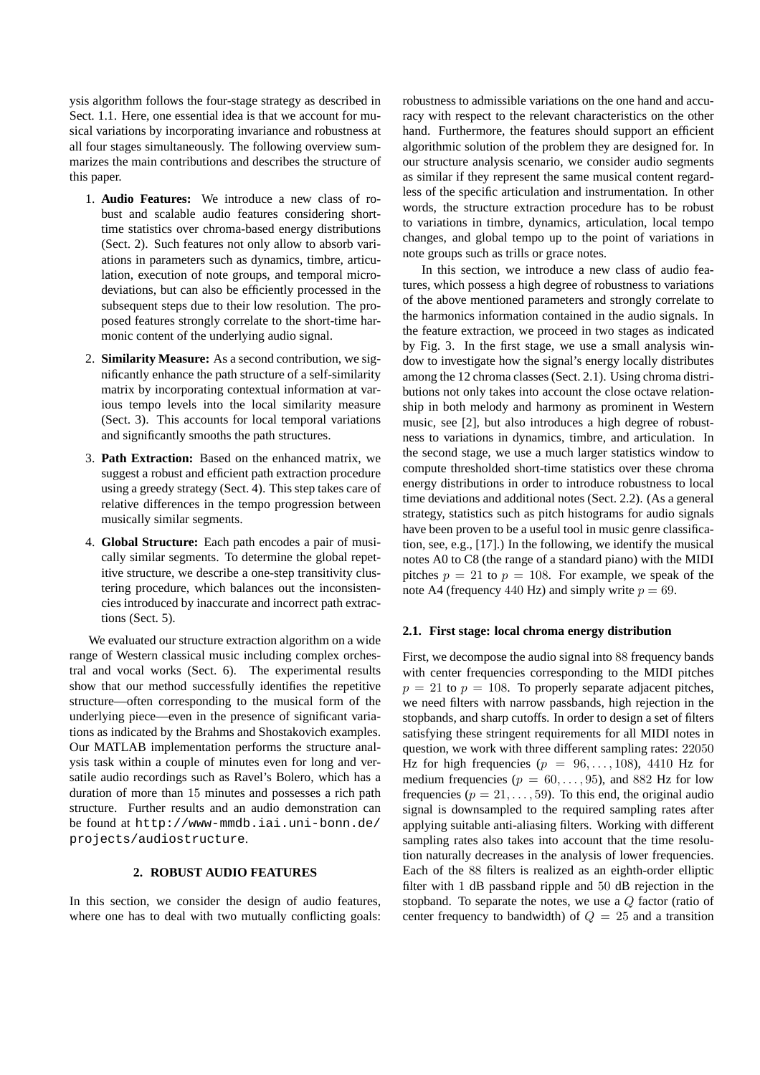ysis algorithm follows the four-stage strategy as described in Sect. 1.1. Here, one essential idea is that we account for musical variations by incorporating invariance and robustness at all four stages simultaneously. The following overview summarizes the main contributions and describes the structure of this paper.

- 1. **Audio Features:** We introduce a new class of robust and scalable audio features considering shorttime statistics over chroma-based energy distributions (Sect. 2). Such features not only allow to absorb variations in parameters such as dynamics, timbre, articulation, execution of note groups, and temporal microdeviations, but can also be efficiently processed in the subsequent steps due to their low resolution. The proposed features strongly correlate to the short-time harmonic content of the underlying audio signal.
- 2. **Similarity Measure:** As a second contribution, we significantly enhance the path structure of a self-similarity matrix by incorporating contextual information at various tempo levels into the local similarity measure (Sect. 3). This accounts for local temporal variations and significantly smooths the path structures.
- 3. **Path Extraction:** Based on the enhanced matrix, we suggest a robust and efficient path extraction procedure using a greedy strategy (Sect. 4). This step takes care of relative differences in the tempo progression between musically similar segments.
- 4. **Global Structure:** Each path encodes a pair of musically similar segments. To determine the global repetitive structure, we describe a one-step transitivity clustering procedure, which balances out the inconsistencies introduced by inaccurate and incorrect path extractions (Sect. 5).

We evaluated our structure extraction algorithm on a wide range of Western classical music including complex orchestral and vocal works (Sect. 6). The experimental results show that our method successfully identifies the repetitive structure—often corresponding to the musical form of the underlying piece—even in the presence of significant variations as indicated by the Brahms and Shostakovich examples. Our MATLAB implementation performs the structure analysis task within a couple of minutes even for long and versatile audio recordings such as Ravel's Bolero, which has a duration of more than 15 minutes and possesses a rich path structure. Further results and an audio demonstration can be found at http://www-mmdb.iai.uni-bonn.de/ projects/audiostructure.

## **2. ROBUST AUDIO FEATURES**

In this section, we consider the design of audio features, where one has to deal with two mutually conflicting goals:

robustness to admissible variations on the one hand and accuracy with respect to the relevant characteristics on the other hand. Furthermore, the features should support an efficient algorithmic solution of the problem they are designed for. In our structure analysis scenario, we consider audio segments as similar if they represent the same musical content regardless of the specific articulation and instrumentation. In other words, the structure extraction procedure has to be robust to variations in timbre, dynamics, articulation, local tempo changes, and global tempo up to the point of variations in note groups such as trills or grace notes.

In this section, we introduce a new class of audio features, which possess a high degree of robustness to variations of the above mentioned parameters and strongly correlate to the harmonics information contained in the audio signals. In the feature extraction, we proceed in two stages as indicated by Fig. 3. In the first stage, we use a small analysis window to investigate how the signal's energy locally distributes among the 12 chroma classes (Sect. 2.1). Using chroma distributions not only takes into account the close octave relationship in both melody and harmony as prominent in Western music, see [2], but also introduces a high degree of robustness to variations in dynamics, timbre, and articulation. In the second stage, we use a much larger statistics window to compute thresholded short-time statistics over these chroma energy distributions in order to introduce robustness to local time deviations and additional notes (Sect. 2.2). (As a general strategy, statistics such as pitch histograms for audio signals have been proven to be a useful tool in music genre classification, see, e.g., [17].) In the following, we identify the musical notes A0 to C8 (the range of a standard piano) with the MIDI pitches  $p = 21$  to  $p = 108$ . For example, we speak of the note A4 (frequency 440 Hz) and simply write  $p = 69$ .

#### **2.1. First stage: local chroma energy distribution**

First, we decompose the audio signal into 88 frequency bands with center frequencies corresponding to the MIDI pitches  $p = 21$  to  $p = 108$ . To properly separate adjacent pitches, we need filters with narrow passbands, high rejection in the stopbands, and sharp cutoffs. In order to design a set of filters satisfying these stringent requirements for all MIDI notes in question, we work with three different sampling rates: 22050 Hz for high frequencies ( $p = 96, \ldots, 108$ ), 4410 Hz for medium frequencies ( $p = 60, \ldots, 95$ ), and 882 Hz for low frequencies ( $p = 21, \ldots, 59$ ). To this end, the original audio signal is downsampled to the required sampling rates after applying suitable anti-aliasing filters. Working with different sampling rates also takes into account that the time resolution naturally decreases in the analysis of lower frequencies. Each of the 88 filters is realized as an eighth-order elliptic filter with 1 dB passband ripple and 50 dB rejection in the stopband. To separate the notes, we use a  $Q$  factor (ratio of center frequency to bandwidth) of  $Q = 25$  and a transition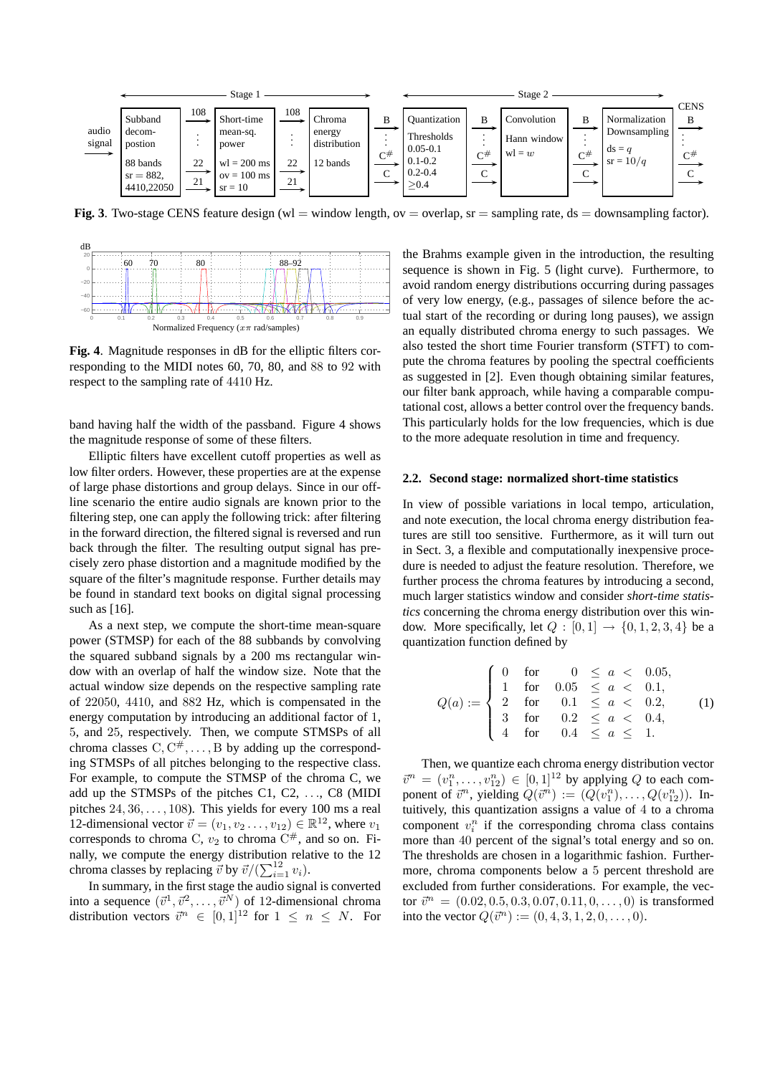

**Fig. 3**. Two-stage CENS feature design (wl = window length, ov = overlap, sr = sampling rate, ds = downsampling factor).



**Fig. 4**. Magnitude responses in dB for the elliptic filters corresponding to the MIDI notes 60, 70, 80, and 88 to 92 with respect to the sampling rate of 4410 Hz.

band having half the width of the passband. Figure 4 shows the magnitude response of some of these filters.

Elliptic filters have excellent cutoff properties as well as low filter orders. However, these properties are at the expense of large phase distortions and group delays. Since in our offline scenario the entire audio signals are known prior to the filtering step, one can apply the following trick: after filtering in the forward direction, the filtered signal is reversed and run back through the filter. The resulting output signal has precisely zero phase distortion and a magnitude modified by the square of the filter's magnitude response. Further details may be found in standard text books on digital signal processing such as [16].

As a next step, we compute the short-time mean-square power (STMSP) for each of the 88 subbands by convolving the squared subband signals by a 200 ms rectangular window with an overlap of half the window size. Note that the actual window size depends on the respective sampling rate of 22050, 4410, and 882 Hz, which is compensated in the energy computation by introducing an additional factor of 1, 5, and 25, respectively. Then, we compute STMSPs of all chroma classes  $C, C^{\#}, \ldots, B$  by adding up the corresponding STMSPs of all pitches belonging to the respective class. For example, to compute the STMSP of the chroma C, we add up the STMSPs of the pitches C1, C2,  $\dots$ , C8 (MIDI) pitches  $24, 36, \ldots, 108$ . This yields for every 100 ms a real 12-dimensional vector  $\vec{v} = (v_1, v_2 \dots, v_{12}) \in \mathbb{R}^{12}$ , where  $v_1$ corresponds to chroma C,  $v_2$  to chroma  $\mathrm{C}^{\#},$  and so on. Finally, we compute the energy distribution relative to the 12 chroma classes by replacing  $\vec{v}$  by  $\vec{v}/(\sum_{i=1}^{12} v_i)$ .

In summary, in the first stage the audio signal is converted into a sequence  $(\vec{v}^1, \vec{v}^2, \dots, \vec{v}^N)$  of 12-dimensional chroma distribution vectors  $\vec{v}^n \in [0, 1]^{12}$  for  $1 \leq n \leq N$ . For

the Brahms example given in the introduction, the resulting sequence is shown in Fig. 5 (light curve). Furthermore, to avoid random energy distributions occurring during passages of very low energy, (e.g., passages of silence before the actual start of the recording or during long pauses), we assign an equally distributed chroma energy to such passages. We also tested the short time Fourier transform (STFT) to compute the chroma features by pooling the spectral coefficients as suggested in [2]. Even though obtaining similar features, our filter bank approach, while having a comparable computational cost, allows a better control over the frequency bands. This particularly holds for the low frequencies, which is due to the more adequate resolution in time and frequency.

#### **2.2. Second stage: normalized short-time statistics**

In view of possible variations in local tempo, articulation, and note execution, the local chroma energy distribution features are still too sensitive. Furthermore, as it will turn out in Sect. 3, a flexible and computationally inexpensive procedure is needed to adjust the feature resolution. Therefore, we further process the chroma features by introducing a second, much larger statistics window and consider *short-time statistics* concerning the chroma energy distribution over this window. More specifically, let  $Q : [0, 1] \rightarrow \{0, 1, 2, 3, 4\}$  be a quantization function defined by

$$
Q(a) := \begin{cases} 0 & \text{for} & 0 \le a < 0.05, \\ 1 & \text{for} & 0.05 \le a < 0.1, \\ 2 & \text{for} & 0.1 \le a < 0.2, \\ 3 & \text{for} & 0.2 \le a < 0.4, \\ 4 & \text{for} & 0.4 \le a \le 1. \end{cases} \tag{1}
$$

Then, we quantize each chroma energy distribution vector  $\vec{v}^n = (v_1^n, \dots, v_{12}^n) \in [0, 1]^{12}$  by applying Q to each component of  $\vec{v}^n$ , yielding  $Q(\vec{v}^n) := (Q(v_1^n), \dots, Q(v_{12}^n))$ . Intuitively, this quantization assigns a value of 4 to a chroma component  $v_i^n$  if the corresponding chroma class contains more than 40 percent of the signal's total energy and so on. The thresholds are chosen in a logarithmic fashion. Furthermore, chroma components below a 5 percent threshold are excluded from further considerations. For example, the vector  $\vec{v}^n = (0.02, 0.5, 0.3, 0.07, 0.11, 0, \ldots, 0)$  is transformed into the vector  $Q(\vec{v}^n) := (0, 4, 3, 1, 2, 0, \dots, 0).$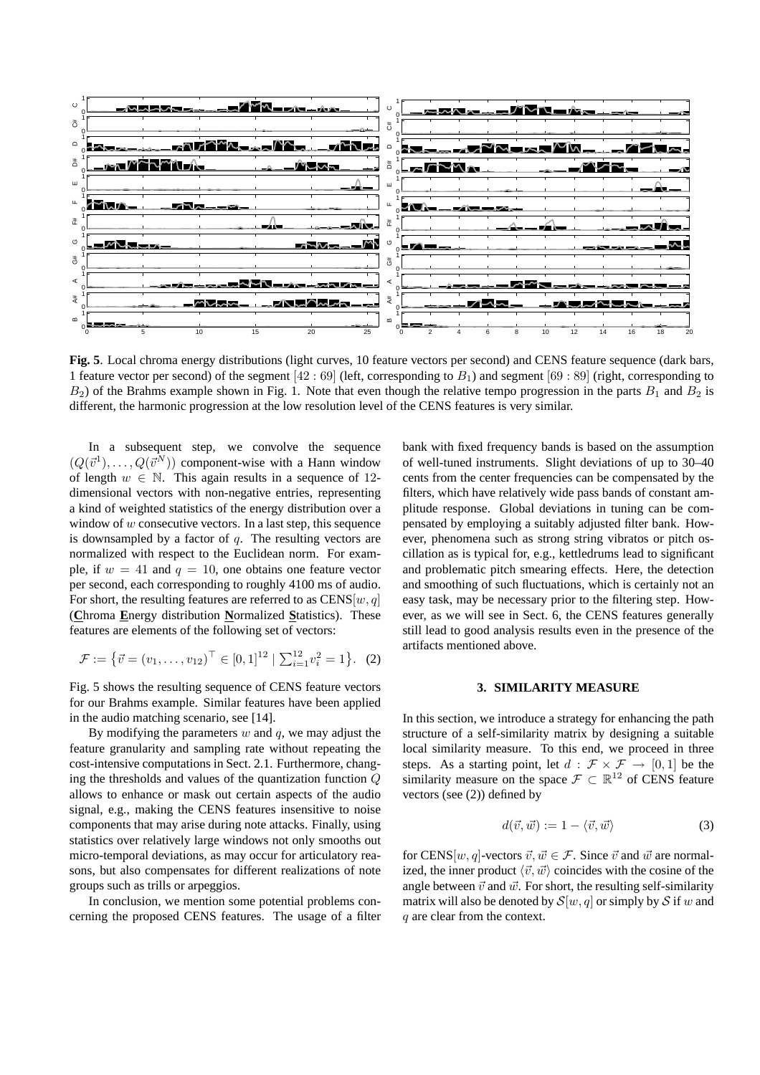

**Fig. 5**. Local chroma energy distributions (light curves, 10 feature vectors per second) and CENS feature sequence (dark bars, 1 feature vector per second) of the segment  $[42:69]$  (left, corresponding to  $B_1$ ) and segment  $[69:89]$  (right, corresponding to  $B_2$ ) of the Brahms example shown in Fig. 1. Note that even though the relative tempo progression in the parts  $B_1$  and  $B_2$  is different, the harmonic progression at the low resolution level of the CENS features is very similar.

In a subsequent step, we convolve the sequence  $(Q(\vec{v}^1), \ldots, Q(\vec{v}^N))$  component-wise with a Hann window of length  $w \in \mathbb{N}$ . This again results in a sequence of 12dimensional vectors with non-negative entries, representing a kind of weighted statistics of the energy distribution over a window of  $w$  consecutive vectors. In a last step, this sequence is downsampled by a factor of  $q$ . The resulting vectors are normalized with respect to the Euclidean norm. For example, if  $w = 41$  and  $q = 10$ , one obtains one feature vector per second, each corresponding to roughly 4100 ms of audio. For short, the resulting features are referred to as  $CENS[w, q]$ (**C**hroma **E**nergy distribution **N**ormalized **S**tatistics). These features are elements of the following set of vectors:

$$
\mathcal{F} := \left\{ \vec{v} = (v_1, \dots, v_{12})^\top \in [0, 1]^{12} \mid \sum_{i=1}^{12} v_i^2 = 1 \right\}. \tag{2}
$$

Fig. 5 shows the resulting sequence of CENS feature vectors for our Brahms example. Similar features have been applied in the audio matching scenario, see [14].

By modifying the parameters  $w$  and  $q$ , we may adjust the feature granularity and sampling rate without repeating the cost-intensive computations in Sect. 2.1. Furthermore, changing the thresholds and values of the quantization function Q allows to enhance or mask out certain aspects of the audio signal, e.g., making the CENS features insensitive to noise components that may arise during note attacks. Finally, using statistics over relatively large windows not only smooths out micro-temporal deviations, as may occur for articulatory reasons, but also compensates for different realizations of note groups such as trills or arpeggios.

In conclusion, we mention some potential problems concerning the proposed CENS features. The usage of a filter

bank with fixed frequency bands is based on the assumption of well-tuned instruments. Slight deviations of up to 30–40 cents from the center frequencies can be compensated by the filters, which have relatively wide pass bands of constant amplitude response. Global deviations in tuning can be compensated by employing a suitably adjusted filter bank. However, phenomena such as strong string vibratos or pitch oscillation as is typical for, e.g., kettledrums lead to significant and problematic pitch smearing effects. Here, the detection and smoothing of such fluctuations, which is certainly not an easy task, may be necessary prior to the filtering step. However, as we will see in Sect. 6, the CENS features generally still lead to good analysis results even in the presence of the artifacts mentioned above.

#### **3. SIMILARITY MEASURE**

In this section, we introduce a strategy for enhancing the path structure of a self-similarity matrix by designing a suitable local similarity measure. To this end, we proceed in three steps. As a starting point, let  $d : \mathcal{F} \times \mathcal{F} \rightarrow [0, 1]$  be the similarity measure on the space  $\mathcal{F} \subset \mathbb{R}^{12}$  of CENS feature vectors (see (2)) defined by

$$
d(\vec{v}, \vec{w}) := 1 - \langle \vec{v}, \vec{w} \rangle \tag{3}
$$

for CENS[w, q]-vectors  $\vec{v}, \vec{w} \in \mathcal{F}$ . Since  $\vec{v}$  and  $\vec{w}$  are normalized, the inner product  $\langle \vec{v}, \vec{w} \rangle$  coincides with the cosine of the angle between  $\vec{v}$  and  $\vec{w}$ . For short, the resulting self-similarity matrix will also be denoted by  $\mathcal{S}[w, q]$  or simply by  $\mathcal S$  if w and q are clear from the context.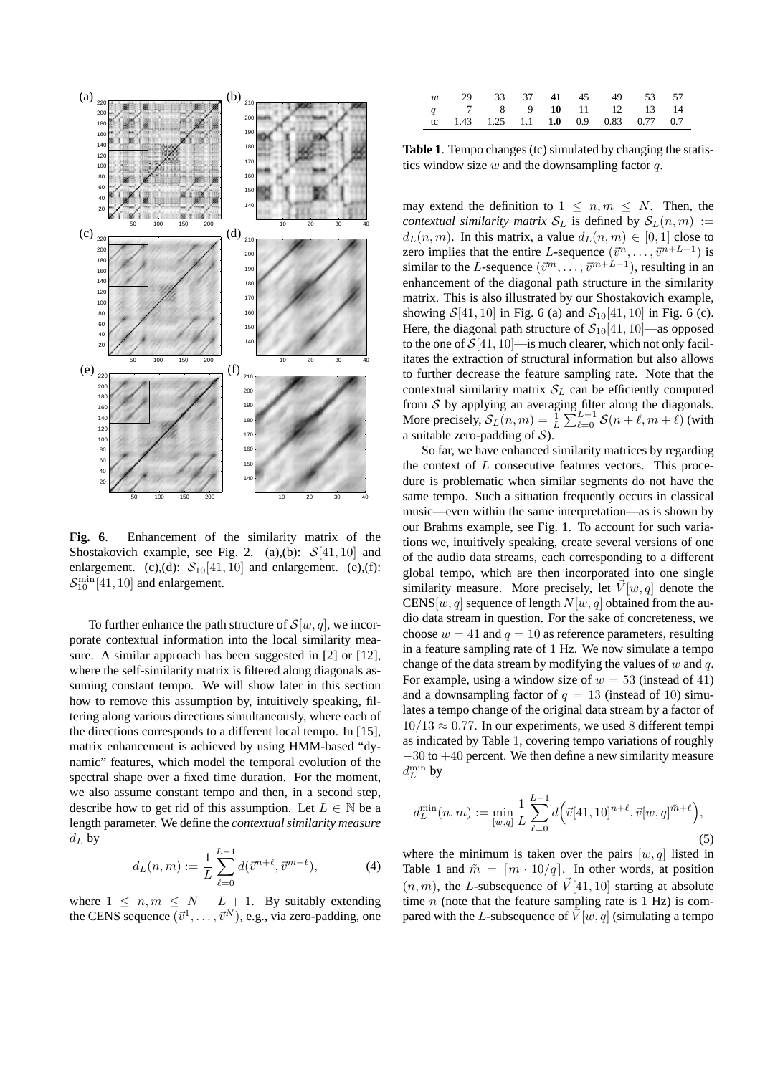

**Fig. 6**. Enhancement of the similarity matrix of the Shostakovich example, see Fig. 2. (a),(b):  $S[41, 10]$  and enlargement. (c),(d):  $S_{10}[41, 10]$  and enlargement. (e),(f):  $\mathcal{S}_{10}^{\min}[41, 10]$  and enlargement.

To further enhance the path structure of  $\mathcal{S}[w, q]$ , we incorporate contextual information into the local similarity measure. A similar approach has been suggested in [2] or [12], where the self-similarity matrix is filtered along diagonals assuming constant tempo. We will show later in this section how to remove this assumption by, intuitively speaking, filtering along various directions simultaneously, where each of the directions corresponds to a different local tempo. In [15], matrix enhancement is achieved by using HMM-based "dynamic" features, which model the temporal evolution of the spectral shape over a fixed time duration. For the moment, we also assume constant tempo and then, in a second step, describe how to get rid of this assumption. Let  $L \in \mathbb{N}$  be a length parameter. We define the *contextual similarity measure*  $d_L$  by

$$
d_L(n,m) := \frac{1}{L} \sum_{\ell=0}^{L-1} d(\vec{v}^{n+\ell}, \vec{v}^{m+\ell}),
$$
 (4)

where  $1 \leq n, m \leq N - L + 1$ . By suitably extending the CENS sequence  $(\vec{v}^1, \dots, \vec{v}^N)$ , e.g., via zero-padding, one

|  |  |  | w 29 33 37 41 45 49 53 57                     |  |
|--|--|--|-----------------------------------------------|--|
|  |  |  | q 7 8 9 10 11 12 13 14                        |  |
|  |  |  | tc 1.43 1.25 1.1 <b>1.0</b> 0.9 0.83 0.77 0.7 |  |

**Table 1**. Tempo changes (tc) simulated by changing the statistics window size  $w$  and the downsampling factor  $q$ .

may extend the definition to  $1 \leq n, m \leq N$ . Then, the *contextual similarity matrix*  $S_L$  is defined by  $S_L(n,m)$  :=  $d_L(n,m)$ . In this matrix, a value  $d_L(n,m) \in [0,1]$  close to zero implies that the entire L-sequence  $(\vec{v}^n, \dots, \vec{v}^{n+L-1})$  is similar to the L-sequence  $(\vec{v}^m, \dots, \vec{v}^{m+L-1})$ , resulting in an enhancement of the diagonal path structure in the similarity matrix. This is also illustrated by our Shostakovich example, showing  $S[41, 10]$  in Fig. 6 (a) and  $S_{10}[41, 10]$  in Fig. 6 (c). Here, the diagonal path structure of  $S_{10}[41, 10]$ —as opposed to the one of  $S[41, 10]$ —is much clearer, which not only facilitates the extraction of structural information but also allows to further decrease the feature sampling rate. Note that the contextual similarity matrix  $S_L$  can be efficiently computed from  $S$  by applying an averaging filter along the diagonals. More precisely,  $S_L(n,m) = \frac{1}{L} \sum_{\ell=0}^{L-1} S(n+\ell, m+\ell)$  (with a suitable zero-padding of  $S$ ).

So far, we have enhanced similarity matrices by regarding the context of  $L$  consecutive features vectors. This procedure is problematic when similar segments do not have the same tempo. Such a situation frequently occurs in classical music—even within the same interpretation—as is shown by our Brahms example, see Fig. 1. To account for such variations we, intuitively speaking, create several versions of one of the audio data streams, each corresponding to a different global tempo, which are then incorporated into one single similarity measure. More precisely, let  $\vec{V}[w, q]$  denote the CENS[w, q] sequence of length  $N[w, q]$  obtained from the audio data stream in question. For the sake of concreteness, we choose  $w = 41$  and  $q = 10$  as reference parameters, resulting in a feature sampling rate of 1 Hz. We now simulate a tempo change of the data stream by modifying the values of  $w$  and  $q$ . For example, using a window size of  $w = 53$  (instead of 41) and a downsampling factor of  $q = 13$  (instead of 10) simulates a tempo change of the original data stream by a factor of  $10/13 \approx 0.77$ . In our experiments, we used 8 different tempi as indicated by Table 1, covering tempo variations of roughly −30 to +40 percent. We then define a new similarity measure  $d^{\min}_L$  by

$$
d_L^{\min}(n,m) := \min_{[w,q]} \frac{1}{L} \sum_{\ell=0}^{L-1} d\left(\vec{v}[41,10]^{n+\ell}, \vec{v}[w,q]^{\tilde{m}+\ell}\right),\tag{5}
$$

where the minimum is taken over the pairs  $[w, q]$  listed in Table 1 and  $\tilde{m} = [m \cdot 10/q]$ . In other words, at position  $(n, m)$ , the L-subsequence of  $\vec{V}[41, 10]$  starting at absolute time  $n$  (note that the feature sampling rate is  $1$  Hz) is compared with the L-subsequence of  $\vec{V}[w, q]$  (simulating a tempo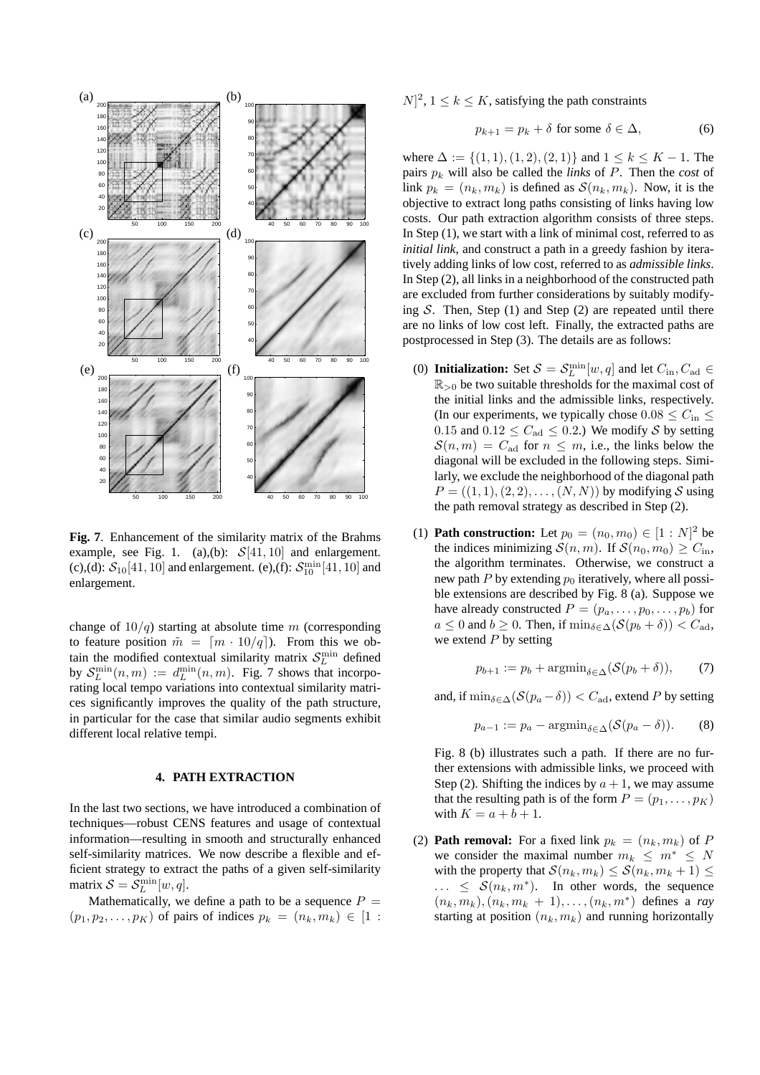

**Fig. 7**. Enhancement of the similarity matrix of the Brahms example, see Fig. 1. (a),(b):  $S[41, 10]$  and enlargement. (c),(d):  $S_{10}[41, 10]$  and enlargement. (e),(f):  $S_{10}^{\min}[41, 10]$  and enlargement.

change of  $10/q$ ) starting at absolute time m (corresponding to feature position  $\tilde{m} = [m \cdot 10/q]$ . From this we obtain the modified contextual similarity matrix  $S_L^{\text{min}}$  defined by  $\mathcal{S}_L^{\min}(n,m) := d_L^{\min}(n,m)$ . Fig. 7 shows that incorporating local tempo variations into contextual similarity matrices significantly improves the quality of the path structure, in particular for the case that similar audio segments exhibit different local relative tempi.

### **4. PATH EXTRACTION**

In the last two sections, we have introduced a combination of techniques—robust CENS features and usage of contextual information—resulting in smooth and structurally enhanced self-similarity matrices. We now describe a flexible and efficient strategy to extract the paths of a given self-similarity matrix  $S = S_L^{\min}[w, q]$ .

Mathematically, we define a path to be a sequence  $P =$  $(p_1, p_2, \ldots, p_K)$  of pairs of indices  $p_k = (n_k, m_k) \in [1:$   $[N]^2$ ,  $1 \leq k \leq K$ , satisfying the path constraints

$$
p_{k+1} = p_k + \delta \text{ for some } \delta \in \Delta,
$$
 (6)

where  $\Delta := \{(1, 1), (1, 2), (2, 1)\}\$ and  $1 \leq k \leq K - 1$ . The pairs  $p_k$  will also be called the *links* of  $P$ . Then the *cost* of link  $p_k = (n_k, m_k)$  is defined as  $\mathcal{S}(n_k, m_k)$ . Now, it is the objective to extract long paths consisting of links having low costs. Our path extraction algorithm consists of three steps. In Step (1), we start with a link of minimal cost, referred to as *initial link*, and construct a path in a greedy fashion by iteratively adding links of low cost, referred to as *admissible links*. In Step (2), all links in a neighborhood of the constructed path are excluded from further considerations by suitably modifying  $S$ . Then, Step  $(1)$  and Step  $(2)$  are repeated until there are no links of low cost left. Finally, the extracted paths are postprocessed in Step (3). The details are as follows:

- (0) **Initialization:** Set  $S = S_L^{\min}[w, q]$  and let  $C_{\text{in}}$ ,  $C_{\text{ad}} \in$  $\mathbb{R}_{>0}$  be two suitable thresholds for the maximal cost of the initial links and the admissible links, respectively. (In our experiments, we typically chose  $0.08 \le C_{\text{in}} \le$ 0.15 and  $0.12 \leq C_{\text{ad}} \leq 0.2$ .) We modify S by setting  $S(n, m) = C_{\text{ad}}$  for  $n \leq m$ , i.e., the links below the diagonal will be excluded in the following steps. Similarly, we exclude the neighborhood of the diagonal path  $P = ((1, 1), (2, 2), \ldots, (N, N))$  by modifying S using the path removal strategy as described in Step (2).
- (1) **Path construction:** Let  $p_0 = (n_0, m_0) \in [1 : N]^2$  be the indices minimizing  $S(n, m)$ . If  $S(n_0, m_0) \geq C_{\text{in}}$ , the algorithm terminates. Otherwise, we construct a new path  $P$  by extending  $p_0$  iteratively, where all possible extensions are described by Fig. 8 (a). Suppose we have already constructed  $P = (p_a, \ldots, p_0, \ldots, p_b)$  for  $a \leq 0$  and  $b \geq 0$ . Then, if  $\min_{\delta \in \Delta} (\mathcal{S}(p_b + \delta)) < C_{ad}$ , we extend  $P$  by setting

$$
p_{b+1} := p_b + \operatorname{argmin}_{\delta \in \Delta} (\mathcal{S}(p_b + \delta)), \qquad (7)
$$

and, if  $\min_{\delta \in \Delta} (\mathcal{S}(p_a - \delta)) < C_{\text{ad}}$ , extend P by setting

$$
p_{a-1} := p_a - \operatorname{argmin}_{\delta \in \Delta} (\mathcal{S}(p_a - \delta)).
$$
 (8)

Fig. 8 (b) illustrates such a path. If there are no further extensions with admissible links, we proceed with Step (2). Shifting the indices by  $a + 1$ , we may assume that the resulting path is of the form  $P = (p_1, \ldots, p_K)$ with  $K = a + b + 1$ .

(2) **Path removal:** For a fixed link  $p_k = (n_k, m_k)$  of P we consider the maximal number  $m_k \leq m^* \leq N$ with the property that  $S(n_k, m_k) \leq S(n_k, m_k + 1) \leq$  $\ldots \leq S(n_k, m^*)$ . In other words, the sequence  $(n_k, m_k), (n_k, m_k + 1), \ldots, (n_k, m^*)$  defines a *ray* starting at position  $(n_k, m_k)$  and running horizontally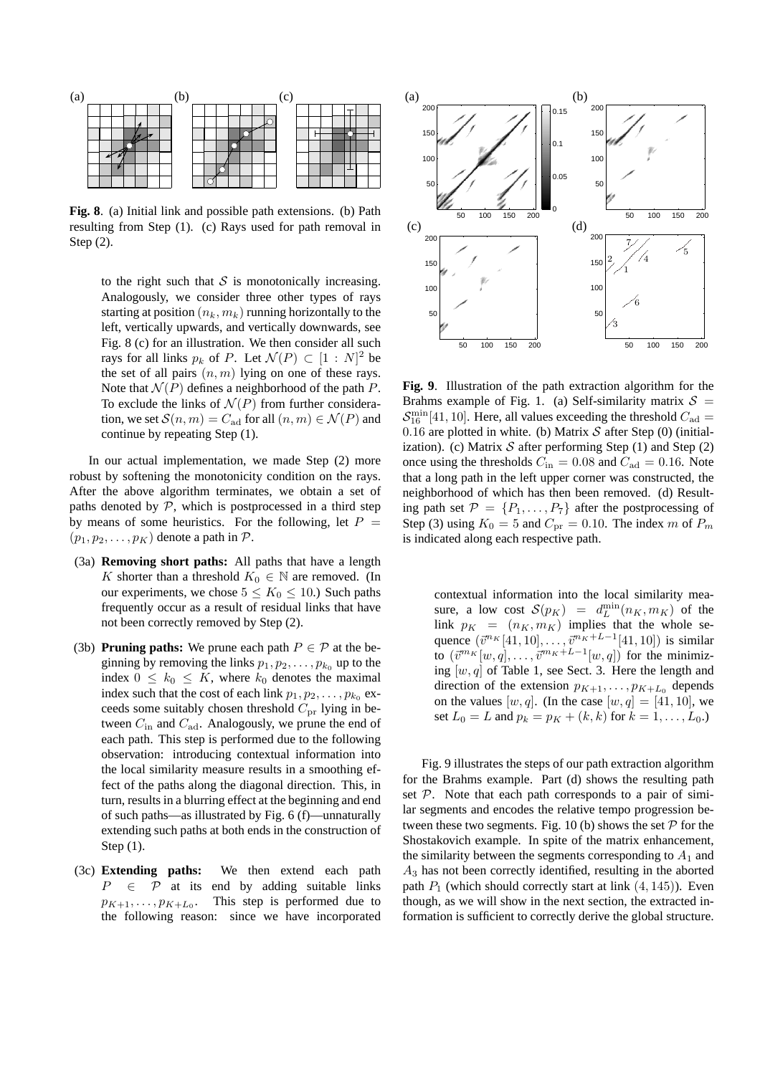

**Fig. 8**. (a) Initial link and possible path extensions. (b) Path resulting from Step (1). (c) Rays used for path removal in Step (2).

to the right such that  $S$  is monotonically increasing. Analogously, we consider three other types of rays starting at position  $(n_k, m_k)$  running horizontally to the left, vertically upwards, and vertically downwards, see Fig. 8 (c) for an illustration. We then consider all such rays for all links  $p_k$  of P. Let  $\mathcal{N}(P) \subset [1:N]^2$  be the set of all pairs  $(n, m)$  lying on one of these rays. Note that  $\mathcal{N}(P)$  defines a neighborhood of the path P. To exclude the links of  $\mathcal{N}(P)$  from further consideration, we set  $\mathcal{S}(n,m) = C_{\text{ad}}$  for all  $(n,m) \in \mathcal{N}(P)$  and continue by repeating Step (1).

In our actual implementation, we made Step (2) more robust by softening the monotonicity condition on the rays. After the above algorithm terminates, we obtain a set of paths denoted by  $P$ , which is postprocessed in a third step by means of some heuristics. For the following, let  $P =$  $(p_1, p_2, \ldots, p_K)$  denote a path in  $\mathcal{P}$ .

- (3a) **Removing short paths:** All paths that have a length K shorter than a threshold  $K_0 \in \mathbb{N}$  are removed. (In our experiments, we chose  $5 \leq K_0 \leq 10$ .) Such paths frequently occur as a result of residual links that have not been correctly removed by Step (2).
- (3b) **Pruning paths:** We prune each path  $P \in \mathcal{P}$  at the beginning by removing the links  $p_1, p_2, \ldots, p_{k_0}$  up to the index  $0 \leq k_0 \leq K$ , where  $k_0$  denotes the maximal index such that the cost of each link  $p_1, p_2, \ldots, p_{k_0}$  exceeds some suitably chosen threshold  $C_{\text{pr}}$  lying in between  $C_{\text{in}}$  and  $C_{\text{ad}}$ . Analogously, we prune the end of each path. This step is performed due to the following observation: introducing contextual information into the local similarity measure results in a smoothing effect of the paths along the diagonal direction. This, in turn, results in a blurring effect at the beginning and end of such paths—as illustrated by Fig. 6 (f)—unnaturally extending such paths at both ends in the construction of Step (1).
- (3c) **Extending paths:** We then extend each path  $P \in \mathcal{P}$  at its end by adding suitable links  $p_{K+1}, \ldots, p_{K+L_0}$ . . This step is performed due to the following reason: since we have incorporated



**Fig. 9**. Illustration of the path extraction algorithm for the Brahms example of Fig. 1. (a) Self-similarity matrix  $S =$  $\mathcal{S}_{16}^{\rm min}[41,10]$ . Here, all values exceeding the threshold  $C_{\rm ad} =$ 0.16 are plotted in white. (b) Matrix  $S$  after Step (0) (initialization). (c) Matrix  $S$  after performing Step (1) and Step (2) once using the thresholds  $C_{\text{in}} = 0.08$  and  $C_{\text{ad}} = 0.16$ . Note that a long path in the left upper corner was constructed, the neighborhood of which has then been removed. (d) Resulting path set  $\mathcal{P} = \{P_1, \ldots, P_7\}$  after the postprocessing of Step (3) using  $K_0 = 5$  and  $C_{pr} = 0.10$ . The index m of  $P_m$ is indicated along each respective path.

contextual information into the local similarity measure, a low cost  $S(p_K) = d_L^{\min}(n_K, m_K)$  of the link  $p_K = (n_K, m_K)$  implies that the whole sequence  $(\vec{v}^{n_K}[41, 10], \dots, \vec{v}^{n_K+L-1}[41, 10])$  is similar to  $(\vec{v}^{m_K}[w,q], \ldots, \vec{v}^{m_K+L-1}[w,q])$  for the minimizing  $[w, q]$  of Table 1, see Sect. 3. Here the length and direction of the extension  $p_{K+1}, \ldots, p_{K+L_0}$  depends on the values  $[w, q]$ . (In the case  $[w, q] = [41, 10]$ , we set  $L_0 = L$  and  $p_k = p_K + (k, k)$  for  $k = 1, ..., L_0$ .

Fig. 9 illustrates the steps of our path extraction algorithm for the Brahms example. Part (d) shows the resulting path set  $P$ . Note that each path corresponds to a pair of similar segments and encodes the relative tempo progression between these two segments. Fig. 10 (b) shows the set  $P$  for the Shostakovich example. In spite of the matrix enhancement, the similarity between the segments corresponding to  $A_1$  and  $A_3$  has not been correctly identified, resulting in the aborted path  $P_1$  (which should correctly start at link  $(4, 145)$ ). Even though, as we will show in the next section, the extracted information is sufficient to correctly derive the global structure.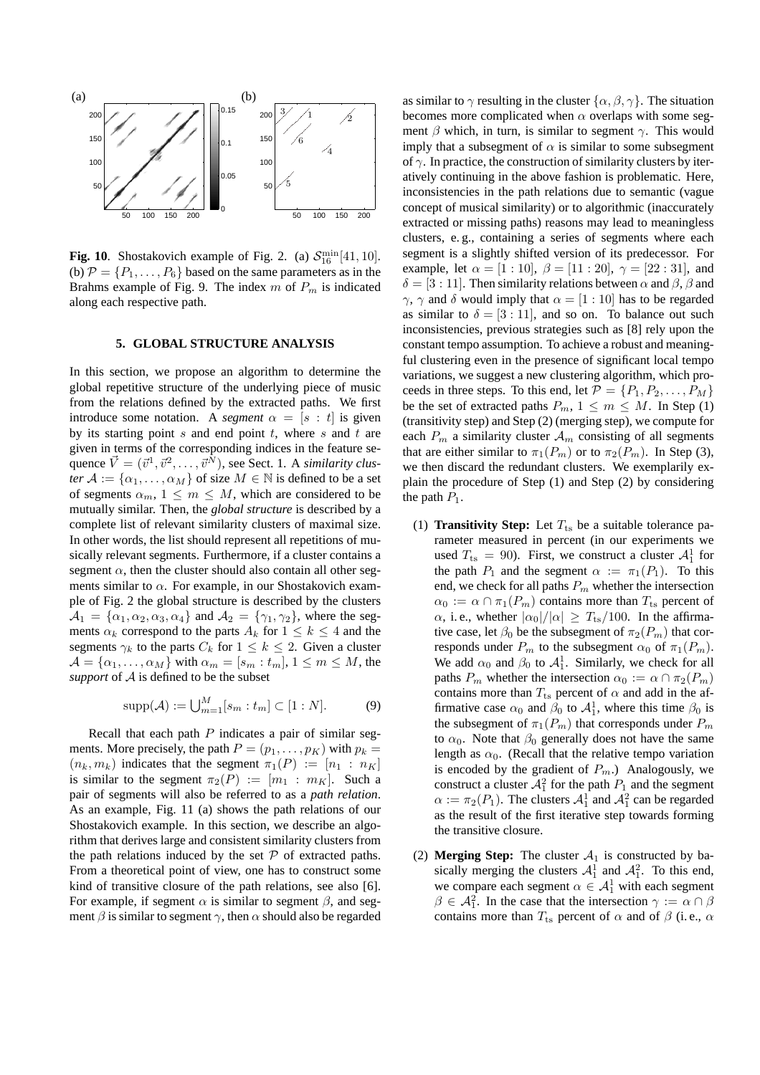

**Fig. 10**. Shostakovich example of Fig. 2. (a)  $S_{16}^{\min}[41, 10]$ . (b)  $\mathcal{P} = \{P_1, \ldots, P_6\}$  based on the same parameters as in the Brahms example of Fig. 9. The index m of  $P_m$  is indicated along each respective path.

### **5. GLOBAL STRUCTURE ANALYSIS**

In this section, we propose an algorithm to determine the global repetitive structure of the underlying piece of music from the relations defined by the extracted paths. We first introduce some notation. A *segment*  $\alpha = [s : t]$  is given by its starting point s and end point t, where s and t are given in terms of the corresponding indices in the feature sequence  $\vec{V} = (\vec{v}^1, \vec{v}^2, \dots, \vec{v}^N)$ , see Sect. 1. A *similarity cluster*  $A := {\alpha_1, \ldots, \alpha_M}$  of size  $M \in \mathbb{N}$  is defined to be a set of segments  $\alpha_m$ ,  $1 \leq m \leq M$ , which are considered to be mutually similar. Then, the *global structure* is described by a complete list of relevant similarity clusters of maximal size. In other words, the list should represent all repetitions of musically relevant segments. Furthermore, if a cluster contains a segment  $\alpha$ , then the cluster should also contain all other segments similar to  $\alpha$ . For example, in our Shostakovich example of Fig. 2 the global structure is described by the clusters  $\mathcal{A}_1 = {\alpha_1, \alpha_2, \alpha_3, \alpha_4}$  and  $\mathcal{A}_2 = {\gamma_1, \gamma_2}$ , where the segments  $\alpha_k$  correspond to the parts  $A_k$  for  $1 \leq k \leq 4$  and the segments  $\gamma_k$  to the parts  $C_k$  for  $1 \leq k \leq 2$ . Given a cluster  $\mathcal{A} = {\alpha_1, \ldots, \alpha_M}$  with  $\alpha_m = [s_m : t_m], 1 \le m \le M$ , the *support* of A is defined to be the subset

$$
supp(\mathcal{A}) := \bigcup_{m=1}^{M} [s_m : t_m] \subset [1 : N].
$$
 (9)

Recall that each path  $P$  indicates a pair of similar segments. More precisely, the path  $P = (p_1, \ldots, p_K)$  with  $p_k =$  $(n_k, m_k)$  indicates that the segment  $\pi_1(P) := [n_1 : n_K]$ is similar to the segment  $\pi_2(P) := [m_1 : m_K]$ . Such a pair of segments will also be referred to as a *path relation*. As an example, Fig. 11 (a) shows the path relations of our Shostakovich example. In this section, we describe an algorithm that derives large and consistent similarity clusters from the path relations induced by the set  $P$  of extracted paths. From a theoretical point of view, one has to construct some kind of transitive closure of the path relations, see also [6]. For example, if segment  $\alpha$  is similar to segment  $\beta$ , and segment  $\beta$  is similar to segment  $\gamma$ , then  $\alpha$  should also be regarded

as similar to  $\gamma$  resulting in the cluster  $\{\alpha, \beta, \gamma\}$ . The situation becomes more complicated when  $\alpha$  overlaps with some segment  $\beta$  which, in turn, is similar to segment  $\gamma$ . This would imply that a subsegment of  $\alpha$  is similar to some subsegment of  $\gamma$ . In practice, the construction of similarity clusters by iteratively continuing in the above fashion is problematic. Here, inconsistencies in the path relations due to semantic (vague concept of musical similarity) or to algorithmic (inaccurately extracted or missing paths) reasons may lead to meaningless clusters, e. g., containing a series of segments where each segment is a slightly shifted version of its predecessor. For example, let  $\alpha = [1:10]$ ,  $\beta = [11:20]$ ,  $\gamma = [22:31]$ , and  $\delta = [3:11]$ . Then similarity relations between  $\alpha$  and  $\beta$ ,  $\beta$  and  $\gamma$ ,  $\gamma$  and  $\delta$  would imply that  $\alpha = [1:10]$  has to be regarded as similar to  $\delta = [3:11]$ , and so on. To balance out such inconsistencies, previous strategies such as [8] rely upon the constant tempo assumption. To achieve a robust and meaningful clustering even in the presence of significant local tempo variations, we suggest a new clustering algorithm, which proceeds in three steps. To this end, let  $\mathcal{P} = \{P_1, P_2, \ldots, P_M\}$ be the set of extracted paths  $P_m$ ,  $1 \leq m \leq M$ . In Step (1) (transitivity step) and Step (2) (merging step), we compute for each  $P_m$  a similarity cluster  $A_m$  consisting of all segments that are either similar to  $\pi_1(P_m)$  or to  $\pi_2(P_m)$ . In Step (3), we then discard the redundant clusters. We exemplarily explain the procedure of Step (1) and Step (2) by considering the path  $P_1$ .

- (1) **Transitivity Step:** Let  $T_{ts}$  be a suitable tolerance parameter measured in percent (in our experiments we used  $T_{\text{ts}} = 90$ ). First, we construct a cluster  $\mathcal{A}^1_1$  for the path  $P_1$  and the segment  $\alpha := \pi_1(P_1)$ . To this end, we check for all paths  $P_m$  whether the intersection  $\alpha_0 := \alpha \cap \pi_1(P_m)$  contains more than  $T_{\text{ts}}$  percent of  $\alpha$ , i. e., whether  $|\alpha_0|/|\alpha| \geq T_{\text{ts}}/100$ . In the affirmative case, let  $\beta_0$  be the subsegment of  $\pi_2(P_m)$  that corresponds under  $P_m$  to the subsegment  $\alpha_0$  of  $\pi_1(P_m)$ . We add  $\alpha_0$  and  $\beta_0$  to  $\mathcal{A}_1^1$ . Similarly, we check for all paths  $P_m$  whether the intersection  $\alpha_0 := \alpha \cap \pi_2(P_m)$ contains more than  $T_{\text{ts}}$  percent of  $\alpha$  and add in the affirmative case  $\alpha_0$  and  $\beta_0$  to  $\mathcal{A}_1^1$ , where this time  $\beta_0$  is the subsegment of  $\pi_1(P_m)$  that corresponds under  $P_m$ to  $\alpha_0$ . Note that  $\beta_0$  generally does not have the same length as  $\alpha_0$ . (Recall that the relative tempo variation is encoded by the gradient of  $P_m$ .) Analogously, we construct a cluster  $A_1^2$  for the path  $P_1$  and the segment  $\alpha := \pi_2(P_1)$ . The clusters  $\mathcal{A}_1^1$  and  $\mathcal{A}_1^2$  can be regarded as the result of the first iterative step towards forming the transitive closure.
- (2) **Merging Step:** The cluster  $A_1$  is constructed by basically merging the clusters  $A_1^1$  and  $A_1^2$ . To this end, we compare each segment  $\alpha \in \mathcal{A}_1^1$  with each segment  $\beta \in \mathcal{A}_1^2$ . In the case that the intersection  $\gamma := \alpha \cap \beta$ contains more than  $T_{\text{ts}}$  percent of  $\alpha$  and of  $\beta$  (i.e.,  $\alpha$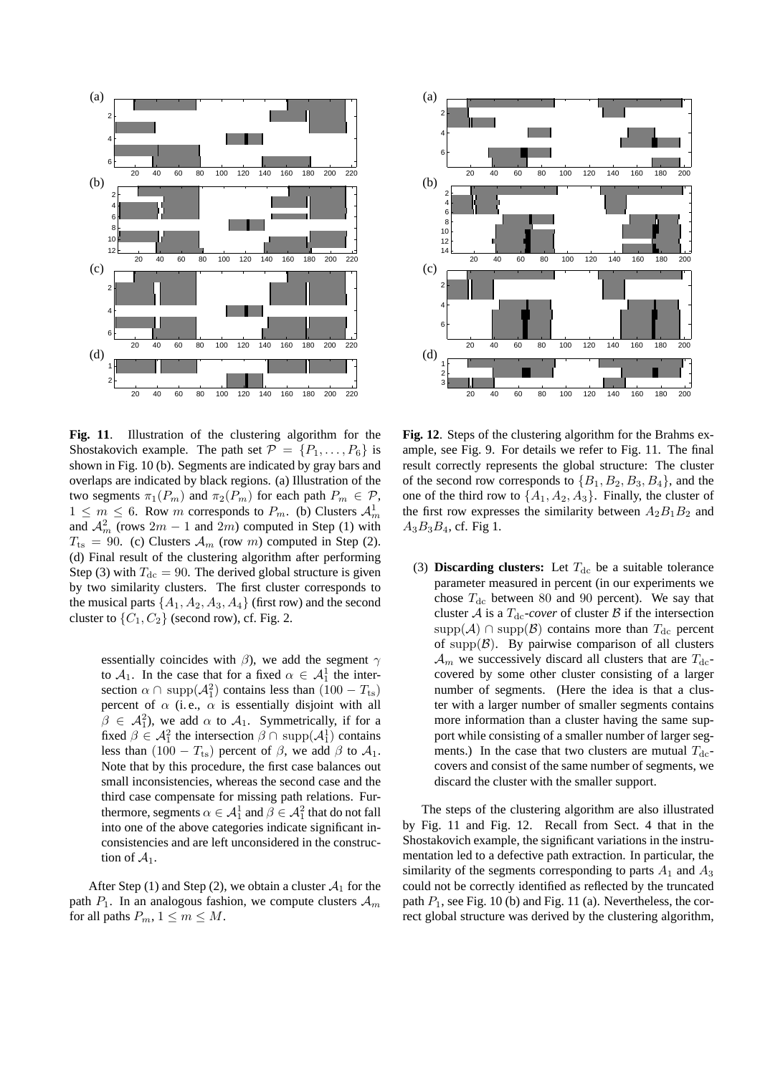

**Fig. 11**. Illustration of the clustering algorithm for the Shostakovich example. The path set  $\mathcal{P} = \{P_1, \ldots, P_6\}$  is shown in Fig. 10 (b). Segments are indicated by gray bars and overlaps are indicated by black regions. (a) Illustration of the two segments  $\pi_1(P_m)$  and  $\pi_2(P_m)$  for each path  $P_m \in \mathcal{P}$ ,  $1 \leq m \leq 6$ . Row m corresponds to  $P_m$ . (b) Clusters  $\mathcal{A}_m^1$ and  $\mathcal{A}_{m}^{2}$  (rows  $2m - 1$  and  $2m$ ) computed in Step (1) with  $T_{ts} = 90.$  (c) Clusters  $A_m$  (row m) computed in Step (2). (d) Final result of the clustering algorithm after performing Step (3) with  $T_{\text{dc}} = 90$ . The derived global structure is given by two similarity clusters. The first cluster corresponds to the musical parts  $\{A_1, A_2, A_3, A_4\}$  (first row) and the second cluster to  $\{C_1, C_2\}$  (second row), cf. Fig. 2.

essentially coincides with  $\beta$ ), we add the segment  $\gamma$ to  $A_1$ . In the case that for a fixed  $\alpha \in A_1^1$  the intersection  $\alpha \cap \text{supp}(\mathcal{A}_1^2)$  contains less than  $(100 - T_{ts})$ percent of  $\alpha$  (i.e.,  $\alpha$  is essentially disjoint with all  $\beta \in \mathcal{A}_1^2$ , we add  $\alpha$  to  $\mathcal{A}_1$ . Symmetrically, if for a fixed  $\beta \in \mathcal{A}_1^2$  the intersection  $\beta \cap \text{supp}(\mathcal{A}_1^1)$  contains less than  $(100 - T_{ts})$  percent of  $\beta$ , we add  $\beta$  to  $\mathcal{A}_1$ . Note that by this procedure, the first case balances out small inconsistencies, whereas the second case and the third case compensate for missing path relations. Furthermore, segments  $\alpha \in \mathcal{A}_1^1$  and  $\beta \in \mathcal{A}_1^2$  that do not fall into one of the above categories indicate significant inconsistencies and are left unconsidered in the construction of  $A_1$ .

After Step (1) and Step (2), we obtain a cluster  $A_1$  for the path  $P_1$ . In an analogous fashion, we compute clusters  $\mathcal{A}_m$ for all paths  $P_m$ ,  $1 \le m \le M$ .



**Fig. 12**. Steps of the clustering algorithm for the Brahms example, see Fig. 9. For details we refer to Fig. 11. The final result correctly represents the global structure: The cluster of the second row corresponds to  $\{B_1, B_2, B_3, B_4\}$ , and the one of the third row to  $\{A_1, A_2, A_3\}$ . Finally, the cluster of the first row expresses the similarity between  $A_2B_1B_2$  and  $A_3B_3B_4$ , cf. Fig 1.

(3) **Discarding clusters:** Let  $T_{dc}$  be a suitable tolerance parameter measured in percent (in our experiments we chose  $T_{\text{dc}}$  between 80 and 90 percent). We say that cluster  $A$  is a  $T_{dc}$ -cover of cluster  $B$  if the intersection supp(A) ∩ supp(B) contains more than  $T_{dc}$  percent of supp $(\beta)$ . By pairwise comparison of all clusters  $\mathcal{A}_m$  we successively discard all clusters that are  $T_{\text{dc}}$ covered by some other cluster consisting of a larger number of segments. (Here the idea is that a cluster with a larger number of smaller segments contains more information than a cluster having the same support while consisting of a smaller number of larger segments.) In the case that two clusters are mutual  $T_{\text{dc}}$ covers and consist of the same number of segments, we discard the cluster with the smaller support.

The steps of the clustering algorithm are also illustrated by Fig. 11 and Fig. 12. Recall from Sect. 4 that in the Shostakovich example, the significant variations in the instrumentation led to a defective path extraction. In particular, the similarity of the segments corresponding to parts  $A_1$  and  $A_3$ could not be correctly identified as reflected by the truncated path  $P_1$ , see Fig. 10 (b) and Fig. 11 (a). Nevertheless, the correct global structure was derived by the clustering algorithm,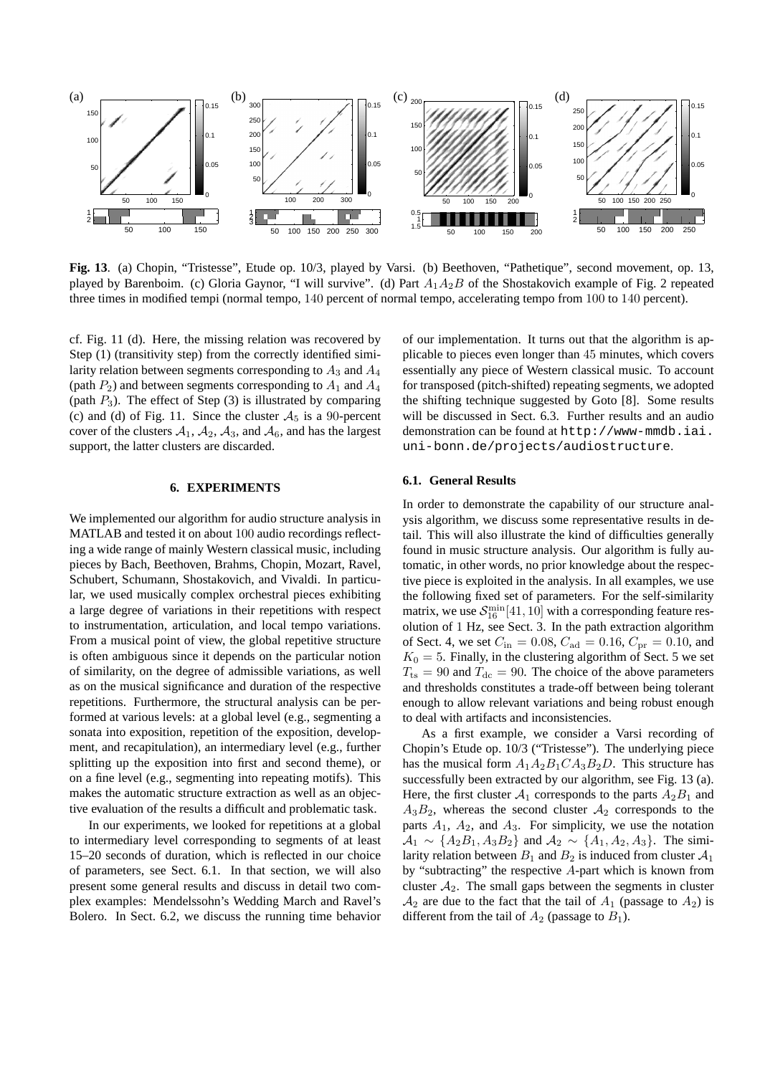

**Fig. 13**. (a) Chopin, "Tristesse", Etude op. 10/3, played by Varsi. (b) Beethoven, "Pathetique", second movement, op. 13, played by Barenboim. (c) Gloria Gaynor, "I will survive". (d) Part  $A_1A_2B$  of the Shostakovich example of Fig. 2 repeated three times in modified tempi (normal tempo, 140 percent of normal tempo, accelerating tempo from 100 to 140 percent).

cf. Fig. 11 (d). Here, the missing relation was recovered by Step (1) (transitivity step) from the correctly identified similarity relation between segments corresponding to  $A_3$  and  $A_4$ (path  $P_2$ ) and between segments corresponding to  $A_1$  and  $A_4$ (path  $P_3$ ). The effect of Step (3) is illustrated by comparing (c) and (d) of Fig. 11. Since the cluster  $A_5$  is a 90-percent cover of the clusters  $A_1$ ,  $A_2$ ,  $A_3$ , and  $A_6$ , and has the largest support, the latter clusters are discarded.

### **6. EXPERIMENTS**

We implemented our algorithm for audio structure analysis in MATLAB and tested it on about 100 audio recordings reflecting a wide range of mainly Western classical music, including pieces by Bach, Beethoven, Brahms, Chopin, Mozart, Ravel, Schubert, Schumann, Shostakovich, and Vivaldi. In particular, we used musically complex orchestral pieces exhibiting a large degree of variations in their repetitions with respect to instrumentation, articulation, and local tempo variations. From a musical point of view, the global repetitive structure is often ambiguous since it depends on the particular notion of similarity, on the degree of admissible variations, as well as on the musical significance and duration of the respective repetitions. Furthermore, the structural analysis can be performed at various levels: at a global level (e.g., segmenting a sonata into exposition, repetition of the exposition, development, and recapitulation), an intermediary level (e.g., further splitting up the exposition into first and second theme), or on a fine level (e.g., segmenting into repeating motifs). This makes the automatic structure extraction as well as an objective evaluation of the results a difficult and problematic task.

In our experiments, we looked for repetitions at a global to intermediary level corresponding to segments of at least 15–20 seconds of duration, which is reflected in our choice of parameters, see Sect. 6.1. In that section, we will also present some general results and discuss in detail two complex examples: Mendelssohn's Wedding March and Ravel's Bolero. In Sect. 6.2, we discuss the running time behavior

of our implementation. It turns out that the algorithm is applicable to pieces even longer than 45 minutes, which covers essentially any piece of Western classical music. To account for transposed (pitch-shifted) repeating segments, we adopted the shifting technique suggested by Goto [8]. Some results will be discussed in Sect. 6.3. Further results and an audio demonstration can be found at http://www-mmdb.iai. uni-bonn.de/projects/audiostructure.

### **6.1. General Results**

In order to demonstrate the capability of our structure analysis algorithm, we discuss some representative results in detail. This will also illustrate the kind of difficulties generally found in music structure analysis. Our algorithm is fully automatic, in other words, no prior knowledge about the respective piece is exploited in the analysis. In all examples, we use the following fixed set of parameters. For the self-similarity matrix, we use  $\mathcal{S}_{16}^{\rm min}[41,10]$  with a corresponding feature resolution of 1 Hz, see Sect. 3. In the path extraction algorithm of Sect. 4, we set  $C_{\text{in}} = 0.08$ ,  $C_{\text{ad}} = 0.16$ ,  $C_{\text{pr}} = 0.10$ , and  $K_0 = 5$ . Finally, in the clustering algorithm of Sect. 5 we set  $T_{\text{ts}} = 90$  and  $T_{\text{dc}} = 90$ . The choice of the above parameters and thresholds constitutes a trade-off between being tolerant enough to allow relevant variations and being robust enough to deal with artifacts and inconsistencies.

As a first example, we consider a Varsi recording of Chopin's Etude op. 10/3 ("Tristesse"). The underlying piece has the musical form  $A_1A_2B_1CA_3B_2D$ . This structure has successfully been extracted by our algorithm, see Fig. 13 (a). Here, the first cluster  $A_1$  corresponds to the parts  $A_2B_1$  and  $A_3B_2$ , whereas the second cluster  $A_2$  corresponds to the parts  $A_1$ ,  $A_2$ , and  $A_3$ . For simplicity, we use the notation  $A_1 \sim \{A_2B_1, A_3B_2\}$  and  $A_2 \sim \{A_1, A_2, A_3\}$ . The similarity relation between  $B_1$  and  $B_2$  is induced from cluster  $A_1$ by "subtracting" the respective A-part which is known from cluster  $A_2$ . The small gaps between the segments in cluster  $A_2$  are due to the fact that the tail of  $A_1$  (passage to  $A_2$ ) is different from the tail of  $A_2$  (passage to  $B_1$ ).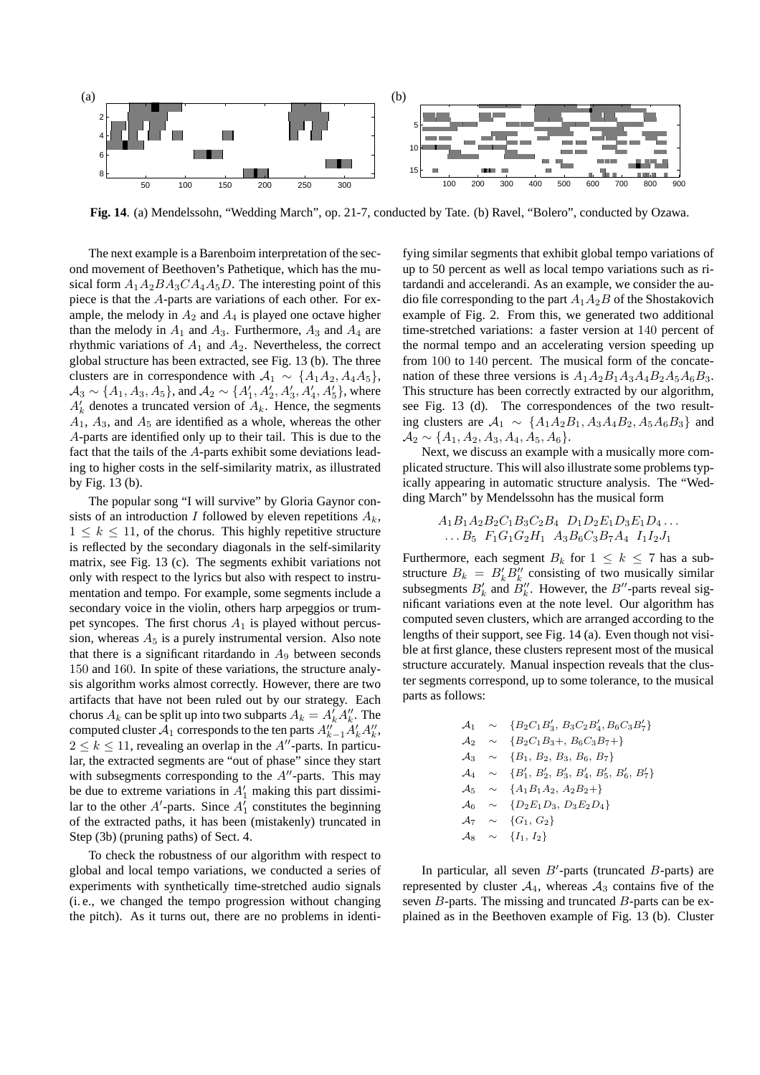

**Fig. 14**. (a) Mendelssohn, "Wedding March", op. 21-7, conducted by Tate. (b) Ravel, "Bolero", conducted by Ozawa.

The next example is a Barenboim interpretation of the second movement of Beethoven's Pathetique, which has the musical form  $A_1A_2BA_3CA_4A_5D$ . The interesting point of this piece is that the A-parts are variations of each other. For example, the melody in  $A_2$  and  $A_4$  is played one octave higher than the melody in  $A_1$  and  $A_3$ . Furthermore,  $A_3$  and  $A_4$  are rhythmic variations of  $A_1$  and  $A_2$ . Nevertheless, the correct global structure has been extracted, see Fig. 13 (b). The three clusters are in correspondence with  $A_1 \sim \{A_1A_2, A_4A_5\}$ ,  $A_3 \sim \{A_1, A_3, A_5\}$ , and  $A_2 \sim \{A'_1, A'_2, A'_3, A'_4, A'_5\}$ , where  $A'_k$  denotes a truncated version of  $A_k$ . Hence, the segments  $A_1$ ,  $A_3$ , and  $A_5$  are identified as a whole, whereas the other A-parts are identified only up to their tail. This is due to the fact that the tails of the A-parts exhibit some deviations leading to higher costs in the self-similarity matrix, as illustrated by Fig. 13 (b).

The popular song "I will survive" by Gloria Gaynor consists of an introduction I followed by eleven repetitions  $A_k$ ,  $1 \leq k \leq 11$ , of the chorus. This highly repetitive structure is reflected by the secondary diagonals in the self-similarity matrix, see Fig. 13 (c). The segments exhibit variations not only with respect to the lyrics but also with respect to instrumentation and tempo. For example, some segments include a secondary voice in the violin, others harp arpeggios or trumpet syncopes. The first chorus  $A_1$  is played without percussion, whereas  $A_5$  is a purely instrumental version. Also note that there is a significant ritardando in  $A_9$  between seconds 150 and 160. In spite of these variations, the structure analysis algorithm works almost correctly. However, there are two artifacts that have not been ruled out by our strategy. Each chorus  $A_k$  can be split up into two subparts  $A_k = A'_k A''_k$ . The computed cluster  $\mathcal{A}_1$  corresponds to the ten parts  $A''_{k-1}A'_kA''_k$ ,  $2 \leq k \leq 11$ , revealing an overlap in the A''-parts. In particular, the extracted segments are "out of phase" since they start with subsegments corresponding to the  $A''$ -parts. This may be due to extreme variations in  $A'_1$  making this part dissimilar to the other  $A'$ -parts. Since  $A'_1$  constitutes the beginning of the extracted paths, it has been (mistakenly) truncated in Step (3b) (pruning paths) of Sect. 4.

To check the robustness of our algorithm with respect to global and local tempo variations, we conducted a series of experiments with synthetically time-stretched audio signals (i. e., we changed the tempo progression without changing the pitch). As it turns out, there are no problems in identifying similar segments that exhibit global tempo variations of up to 50 percent as well as local tempo variations such as ritardandi and accelerandi. As an example, we consider the audio file corresponding to the part  $A_1A_2B$  of the Shostakovich example of Fig. 2. From this, we generated two additional time-stretched variations: a faster version at 140 percent of the normal tempo and an accelerating version speeding up from 100 to 140 percent. The musical form of the concatenation of these three versions is  $A_1A_2B_1A_3A_4B_2A_5A_6B_3$ . This structure has been correctly extracted by our algorithm, see Fig. 13 (d). The correspondences of the two resulting clusters are  $A_1 \sim \{A_1A_2B_1, A_3A_4B_2, A_5A_6B_3\}$  and  $\mathcal{A}_2 \sim \{A_1, A_2, A_3, A_4, A_5, A_6\}.$ 

Next, we discuss an example with a musically more complicated structure. This will also illustrate some problems typically appearing in automatic structure analysis. The "Wedding March" by Mendelssohn has the musical form

$$
A_1B_1A_2B_2C_1B_3C_2B_4 D_1D_2E_1D_3E_1D_4...
$$
  
...
$$
B_5 F_1G_1G_2H_1 A_3B_6C_3B_7A_4 I_1I_2J_1
$$

Furthermore, each segment  $B_k$  for  $1 \leq k \leq 7$  has a substructure  $B_k = B'_k B''_k$  consisting of two musically similar subsegments  $B'_k$  and  $B''_k$ . However, the  $B''$ -parts reveal significant variations even at the note level. Our algorithm has computed seven clusters, which are arranged according to the lengths of their support, see Fig. 14 (a). Even though not visible at first glance, these clusters represent most of the musical structure accurately. Manual inspection reveals that the cluster segments correspond, up to some tolerance, to the musical parts as follows:

$$
A_1 \sim \{B_2C_1B'_3, B_3C_2B'_4, B_6C_3B'_7\}
$$
  
\n
$$
A_2 \sim \{B_2C_1B_3+, B_6C_3B_7+\}
$$
  
\n
$$
A_3 \sim \{B_1, B_2, B_3, B_6, B_7\}
$$
  
\n
$$
A_4 \sim \{B'_1, B'_2, B'_3, B'_4, B'_5, B'_6, B'_7\}
$$
  
\n
$$
A_5 \sim \{A_1B_1A_2, A_2B_2+\}
$$
  
\n
$$
A_6 \sim \{D_2E_1D_3, D_3E_2D_4\}
$$
  
\n
$$
A_7 \sim \{G_1, G_2\}
$$
  
\n
$$
A_8 \sim \{I_1, I_2\}
$$

In particular, all seven  $B'$ -parts (truncated  $B$ -parts) are represented by cluster  $A_4$ , whereas  $A_3$  contains five of the seven B-parts. The missing and truncated B-parts can be explained as in the Beethoven example of Fig. 13 (b). Cluster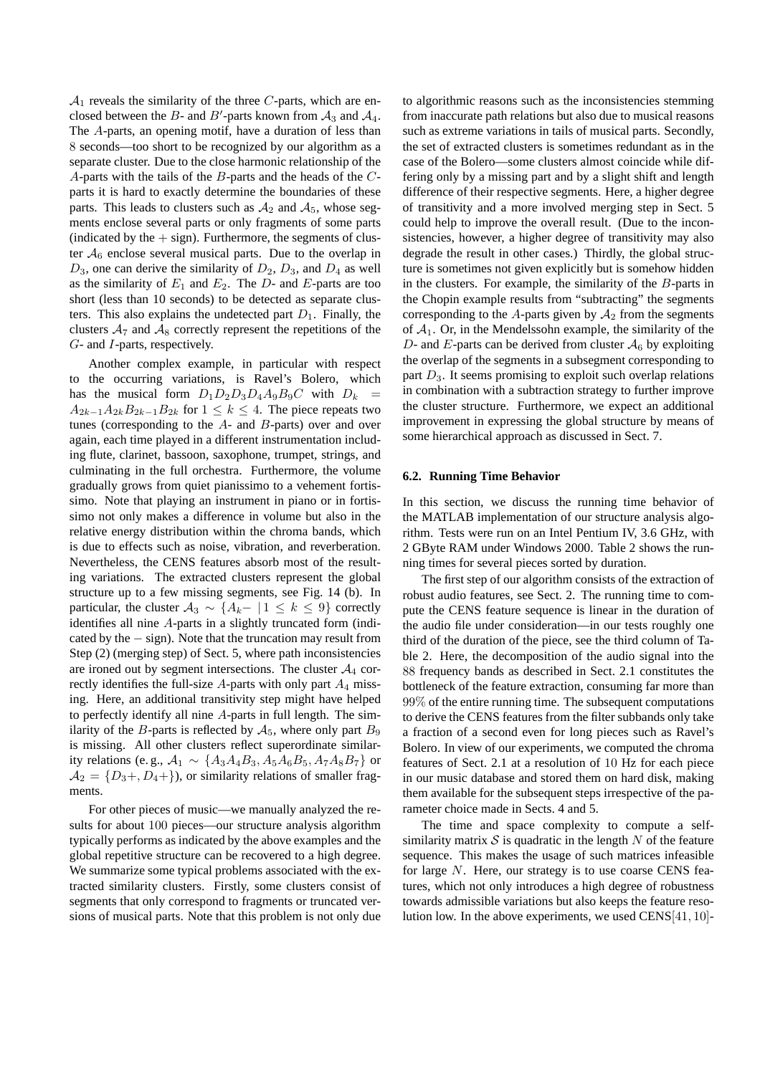$A_1$  reveals the similarity of the three C-parts, which are enclosed between the B- and B'-parts known from  $A_3$  and  $A_4$ . The A-parts, an opening motif, have a duration of less than 8 seconds—too short to be recognized by our algorithm as a separate cluster. Due to the close harmonic relationship of the A-parts with the tails of the B-parts and the heads of the Cparts it is hard to exactly determine the boundaries of these parts. This leads to clusters such as  $A_2$  and  $A_5$ , whose segments enclose several parts or only fragments of some parts (indicated by the  $+$  sign). Furthermore, the segments of cluster  $A_6$  enclose several musical parts. Due to the overlap in  $D_3$ , one can derive the similarity of  $D_2$ ,  $D_3$ , and  $D_4$  as well as the similarity of  $E_1$  and  $E_2$ . The D- and E-parts are too short (less than 10 seconds) to be detected as separate clusters. This also explains the undetected part  $D_1$ . Finally, the clusters  $A_7$  and  $A_8$  correctly represent the repetitions of the G- and I-parts, respectively.

Another complex example, in particular with respect to the occurring variations, is Ravel's Bolero, which has the musical form  $D_1D_2D_3D_4A_9B_9C$  with  $D_k =$  $A_{2k-1}A_{2k}B_{2k-1}B_{2k}$  for  $1 \leq k \leq 4$ . The piece repeats two tunes (corresponding to the  $A$ - and  $B$ -parts) over and over again, each time played in a different instrumentation including flute, clarinet, bassoon, saxophone, trumpet, strings, and culminating in the full orchestra. Furthermore, the volume gradually grows from quiet pianissimo to a vehement fortissimo. Note that playing an instrument in piano or in fortissimo not only makes a difference in volume but also in the relative energy distribution within the chroma bands, which is due to effects such as noise, vibration, and reverberation. Nevertheless, the CENS features absorb most of the resulting variations. The extracted clusters represent the global structure up to a few missing segments, see Fig. 14 (b). In particular, the cluster  $A_3 \sim \{A_k - |1 \leq k \leq 9\}$  correctly identifies all nine A-parts in a slightly truncated form (indicated by the − sign). Note that the truncation may result from Step (2) (merging step) of Sect. 5, where path inconsistencies are ironed out by segment intersections. The cluster  $A_4$  correctly identifies the full-size  $A$ -parts with only part  $A_4$  missing. Here, an additional transitivity step might have helped to perfectly identify all nine A-parts in full length. The similarity of the B-parts is reflected by  $A_5$ , where only part  $B_9$ is missing. All other clusters reflect superordinate similarity relations (e.g.,  $A_1 \sim \{A_3A_4B_3, A_5A_6B_5, A_7A_8B_7\}$  or  $A_2 = \{D_3 + D_4 + \}$ , or similarity relations of smaller fragments.

For other pieces of music—we manually analyzed the results for about 100 pieces—our structure analysis algorithm typically performs as indicated by the above examples and the global repetitive structure can be recovered to a high degree. We summarize some typical problems associated with the extracted similarity clusters. Firstly, some clusters consist of segments that only correspond to fragments or truncated versions of musical parts. Note that this problem is not only due

to algorithmic reasons such as the inconsistencies stemming from inaccurate path relations but also due to musical reasons such as extreme variations in tails of musical parts. Secondly, the set of extracted clusters is sometimes redundant as in the case of the Bolero—some clusters almost coincide while differing only by a missing part and by a slight shift and length difference of their respective segments. Here, a higher degree of transitivity and a more involved merging step in Sect. 5 could help to improve the overall result. (Due to the inconsistencies, however, a higher degree of transitivity may also degrade the result in other cases.) Thirdly, the global structure is sometimes not given explicitly but is somehow hidden in the clusters. For example, the similarity of the  $B$ -parts in the Chopin example results from "subtracting" the segments corresponding to the A-parts given by  $A_2$  from the segments of  $A_1$ . Or, in the Mendelssohn example, the similarity of the D- and E-parts can be derived from cluster  $A_6$  by exploiting the overlap of the segments in a subsegment corresponding to part  $D_3$ . It seems promising to exploit such overlap relations in combination with a subtraction strategy to further improve the cluster structure. Furthermore, we expect an additional improvement in expressing the global structure by means of some hierarchical approach as discussed in Sect. 7.

#### **6.2. Running Time Behavior**

In this section, we discuss the running time behavior of the MATLAB implementation of our structure analysis algorithm. Tests were run on an Intel Pentium IV, 3.6 GHz, with 2 GByte RAM under Windows 2000. Table 2 shows the running times for several pieces sorted by duration.

The first step of our algorithm consists of the extraction of robust audio features, see Sect. 2. The running time to compute the CENS feature sequence is linear in the duration of the audio file under consideration—in our tests roughly one third of the duration of the piece, see the third column of Table 2. Here, the decomposition of the audio signal into the 88 frequency bands as described in Sect. 2.1 constitutes the bottleneck of the feature extraction, consuming far more than 99% of the entire running time. The subsequent computations to derive the CENS features from the filter subbands only take a fraction of a second even for long pieces such as Ravel's Bolero. In view of our experiments, we computed the chroma features of Sect. 2.1 at a resolution of 10 Hz for each piece in our music database and stored them on hard disk, making them available for the subsequent steps irrespective of the parameter choice made in Sects. 4 and 5.

The time and space complexity to compute a selfsimilarity matrix  $\mathcal S$  is quadratic in the length  $N$  of the feature sequence. This makes the usage of such matrices infeasible for large  $N$ . Here, our strategy is to use coarse CENS features, which not only introduces a high degree of robustness towards admissible variations but also keeps the feature resolution low. In the above experiments, we used CENS[41, 10]-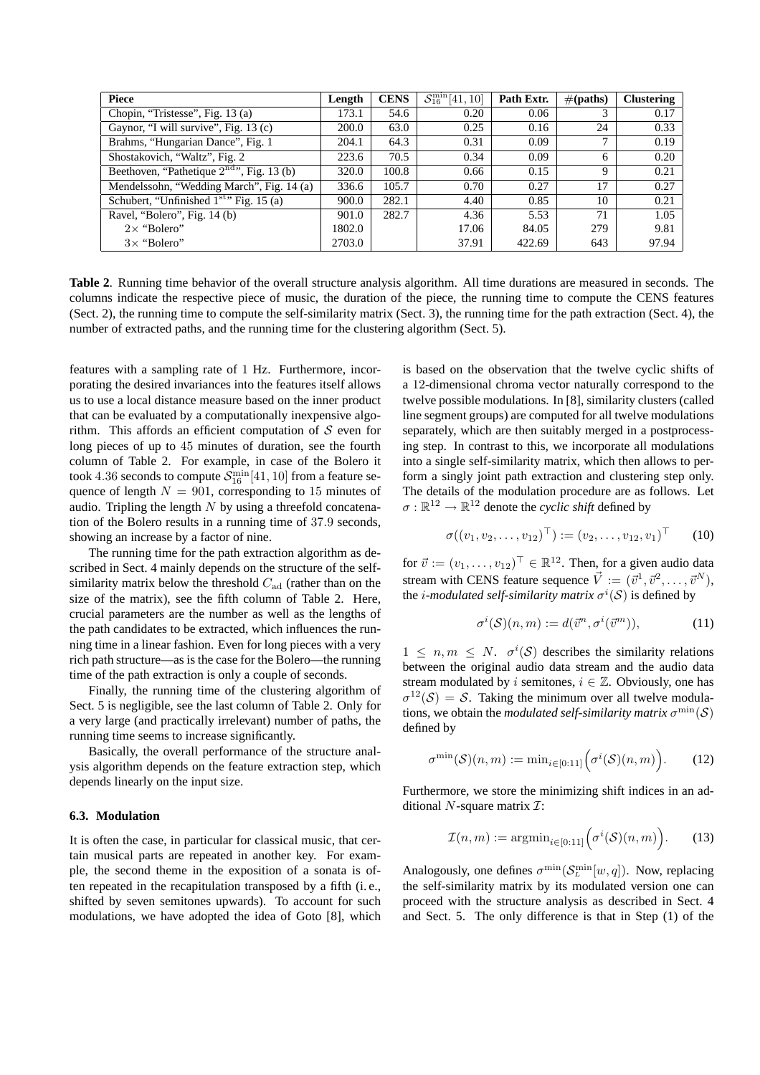| <b>Piece</b>                                | Length | <b>CENS</b> | $\mathcal{S}_{16}^{\min}[41, 10]$ | Path Extr. | #(paths)                 | <b>Clustering</b> |
|---------------------------------------------|--------|-------------|-----------------------------------|------------|--------------------------|-------------------|
| Chopin, "Tristesse", Fig. 13 (a)            | 173.1  | 54.6        | 0.20                              | 0.06       | 3                        | 0.17              |
| Gaynor, "I will survive", Fig. 13 (c)       | 200.0  | 63.0        | 0.25                              | 0.16       | 24                       | 0.33              |
| Brahms, "Hungarian Dance", Fig. 1           | 204.1  | 64.3        | 0.31                              | 0.09       | $\overline{\phantom{0}}$ | 0.19              |
| Shostakovich, "Waltz", Fig. 2               | 223.6  | 70.5        | 0.34                              | 0.09       | 6                        | 0.20              |
| Beethoven, "Pathetique $2nd$ ", Fig. 13 (b) | 320.0  | 100.8       | 0.66                              | 0.15       | 9                        | 0.21              |
| Mendelssohn, "Wedding March", Fig. 14 (a)   | 336.6  | 105.7       | 0.70                              | 0.27       | 17                       | 0.27              |
| Schubert, "Unfinished $1st$ " Fig. 15 (a)   | 900.0  | 282.1       | 4.40                              | 0.85       | 10                       | 0.21              |
| Ravel, "Bolero", Fig. 14 (b)                | 901.0  | 282.7       | 4.36                              | 5.53       | 71                       | 1.05              |
| $2\times$ "Bolero"                          | 1802.0 |             | 17.06                             | 84.05      | 279                      | 9.81              |
| $3\times$ "Bolero"                          | 2703.0 |             | 37.91                             | 422.69     | 643                      | 97.94             |

**Table 2**. Running time behavior of the overall structure analysis algorithm. All time durations are measured in seconds. The columns indicate the respective piece of music, the duration of the piece, the running time to compute the CENS features (Sect. 2), the running time to compute the self-similarity matrix (Sect. 3), the running time for the path extraction (Sect. 4), the number of extracted paths, and the running time for the clustering algorithm (Sect. 5).

features with a sampling rate of 1 Hz. Furthermore, incorporating the desired invariances into the features itself allows us to use a local distance measure based on the inner product that can be evaluated by a computationally inexpensive algorithm. This affords an efficient computation of  $S$  even for long pieces of up to 45 minutes of duration, see the fourth column of Table 2. For example, in case of the Bolero it took 4.36 seconds to compute  $\mathcal{S}_{16}^{\text{min}}[41, 10]$  from a feature sequence of length  $N = 901$ , corresponding to 15 minutes of audio. Tripling the length  $N$  by using a threefold concatenation of the Bolero results in a running time of 37.9 seconds, showing an increase by a factor of nine.

The running time for the path extraction algorithm as described in Sect. 4 mainly depends on the structure of the selfsimilarity matrix below the threshold  $C_{\text{ad}}$  (rather than on the size of the matrix), see the fifth column of Table 2. Here, crucial parameters are the number as well as the lengths of the path candidates to be extracted, which influences the running time in a linear fashion. Even for long pieces with a very rich path structure—as is the case for the Bolero—the running time of the path extraction is only a couple of seconds.

Finally, the running time of the clustering algorithm of Sect. 5 is negligible, see the last column of Table 2. Only for a very large (and practically irrelevant) number of paths, the running time seems to increase significantly.

Basically, the overall performance of the structure analysis algorithm depends on the feature extraction step, which depends linearly on the input size.

#### **6.3. Modulation**

It is often the case, in particular for classical music, that certain musical parts are repeated in another key. For example, the second theme in the exposition of a sonata is often repeated in the recapitulation transposed by a fifth (i. e., shifted by seven semitones upwards). To account for such modulations, we have adopted the idea of Goto [8], which is based on the observation that the twelve cyclic shifts of a 12-dimensional chroma vector naturally correspond to the twelve possible modulations. In [8], similarity clusters (called line segment groups) are computed for all twelve modulations separately, which are then suitably merged in a postprocessing step. In contrast to this, we incorporate all modulations into a single self-similarity matrix, which then allows to perform a singly joint path extraction and clustering step only. The details of the modulation procedure are as follows. Let  $\sigma : \mathbb{R}^{12} \to \mathbb{R}^{12}$  denote the *cyclic shift* defined by

$$
\sigma((v_1, v_2, \dots, v_{12})^{\top}) := (v_2, \dots, v_{12}, v_1)^{\top} \qquad (10)
$$

for  $\vec{v} := (v_1, \dots, v_{12})^\top \in \mathbb{R}^{12}$ . Then, for a given audio data stream with CENS feature sequence  $\vec{V} := (\vec{v}^1, \vec{v}^2, \dots, \vec{v}^N)$ , the *i-modulated self-similarity matrix*  $\sigma^{i}(S)$  is defined by

$$
\sigma^i(\mathcal{S})(n,m) := d(\vec{v}^n, \sigma^i(\vec{v}^m)),\tag{11}
$$

 $1 \leq n, m \leq N$ .  $\sigma^{i}(\mathcal{S})$  describes the similarity relations between the original audio data stream and the audio data stream modulated by i semitones,  $i \in \mathbb{Z}$ . Obviously, one has  $\sigma^{12}(\mathcal{S}) = \mathcal{S}$ . Taking the minimum over all twelve modulations, we obtain the *modulated self-similarity matrix*  $\sigma^{\min}(\mathcal{S})$ defined by

$$
\sigma^{\min}(\mathcal{S})(n,m) := \min_{i \in [0:11]} \Big(\sigma^i(\mathcal{S})(n,m)\Big). \tag{12}
$$

Furthermore, we store the minimizing shift indices in an additional N-square matrix  $\mathcal{I}$ :

$$
\mathcal{I}(n,m) := \operatorname{argmin}_{i \in [0:11]} \left( \sigma^i(\mathcal{S})(n,m) \right). \tag{13}
$$

Analogously, one defines  $\sigma^{\min}(\mathcal{S}_L^{\min}[w,q])$ . Now, replacing the self-similarity matrix by its modulated version one can proceed with the structure analysis as described in Sect. 4 and Sect. 5. The only difference is that in Step (1) of the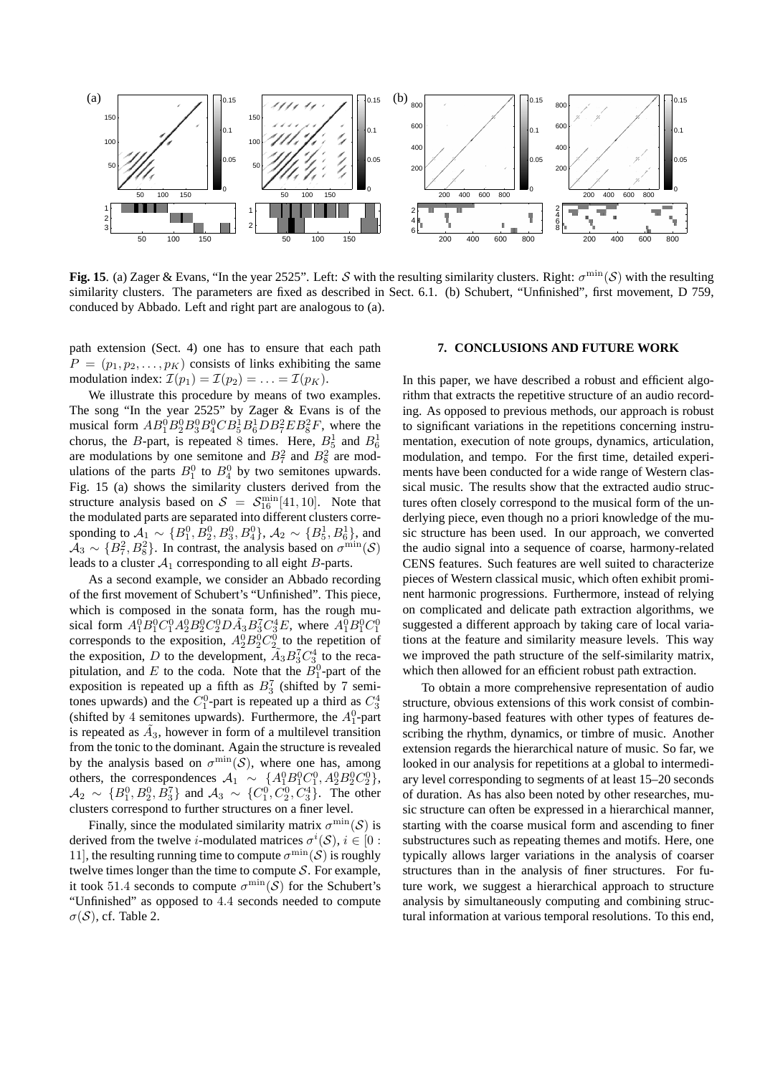

**Fig. 15**. (a) Zager & Evans, "In the year 2525". Left: S with the resulting similarity clusters. Right:  $\sigma^{min}(S)$  with the resulting similarity clusters. The parameters are fixed as described in Sect. 6.1. (b) Schubert, "Unfinished", first movement, D 759, conduced by Abbado. Left and right part are analogous to (a).

path extension (Sect. 4) one has to ensure that each path  $P = (p_1, p_2, \dots, p_K)$  consists of links exhibiting the same modulation index:  $\mathcal{I}(p_1) = \mathcal{I}(p_2) = \ldots = \mathcal{I}(p_K)$ .

We illustrate this procedure by means of two examples. The song "In the year 2525" by Zager & Evans is of the musical form  $AB_1^0B_2^0B_3^0B_4^0CB_5^1B_6^1DB_7^2EB_8^2F$ , where the chorus, the *B*-part, is repeated 8 times. Here,  $B_5^1$  and  $B_6^1$ are modulations by one semitone and  $B_7^2$  and  $B_8^2$  are modulations of the parts  $B_1^0$  to  $B_4^0$  by two semitones upwards. Fig. 15 (a) shows the similarity clusters derived from the structure analysis based on  $S = S_{16}^{\min}[41, 10]$ . Note that the modulated parts are separated into different clusters corresponding to  $\mathcal{A}_1 \sim \{B_1^0, B_2^0, B_3^0, B_4^0\}, \mathcal{A}_2 \sim \{B_5^1, B_6^1\},$  and  $A_3 \sim \{B_7^2, B_8^2\}$ . In contrast, the analysis based on  $\sigma^{\min}(\mathcal{S})$ leads to a cluster  $A_1$  corresponding to all eight  $B$ -parts.

As a second example, we consider an Abbado recording of the first movement of Schubert's "Unfinished". This piece, which is composed in the sonata form, has the rough musical form  $A_1^0B_1^0C_1^0A_2^0B_2^0C_2^0D\tilde{A_3}B_3^7C_3^4E$ , where  $A_1^0B_1^0C_1^0$ corresponds to the exposition,  $A_2^0 B_2^0 C_2^0$  to the repetition of the exposition, D to the development,  $\tilde{A}_3 B_3^7 C_3^4$  to the recapitulation, and E to the coda. Note that the  $B_1^0$ -part of the exposition is repeated up a fifth as  $B_3^7$  (shifted by 7 semitones upwards) and the  $C_1^0$ -part is repeated up a third as  $C_3^4$ (shifted by 4 semitones upwards). Furthermore, the  $A_1^0$ -part is repeated as  $\tilde{A}_3$ , however in form of a multilevel transition from the tonic to the dominant. Again the structure is revealed by the analysis based on  $\sigma^{\min}(\mathcal{S})$ , where one has, among others, the correspondences  $A_1 \sim \{A_1^0 B_1^0 C_1^0, A_2^0 B_2^0 C_2^0\},\$  $\mathcal{A}_2 \sim \{B_1^0, B_2^0, B_3^7\}$  and  $\mathcal{A}_3 \sim \{C_1^0, C_2^0, C_3^4\}$ . The other clusters correspond to further structures on a finer level.

Finally, since the modulated similarity matrix  $\sigma^{\min}(\mathcal{S})$  is derived from the twelve *i*-modulated matrices  $\sigma^i(S)$ ,  $i \in [0:$ 11], the resulting running time to compute  $\sigma^{\min}(\mathcal{S})$  is roughly twelve times longer than the time to compute  $S$ . For example, it took 51.4 seconds to compute  $\sigma^{\min}(\mathcal{S})$  for the Schubert's "Unfinished" as opposed to 4.4 seconds needed to compute  $\sigma(S)$ , cf. Table 2.

#### **7. CONCLUSIONS AND FUTURE WORK**

In this paper, we have described a robust and efficient algorithm that extracts the repetitive structure of an audio recording. As opposed to previous methods, our approach is robust to significant variations in the repetitions concerning instrumentation, execution of note groups, dynamics, articulation, modulation, and tempo. For the first time, detailed experiments have been conducted for a wide range of Western classical music. The results show that the extracted audio structures often closely correspond to the musical form of the underlying piece, even though no a priori knowledge of the music structure has been used. In our approach, we converted the audio signal into a sequence of coarse, harmony-related CENS features. Such features are well suited to characterize pieces of Western classical music, which often exhibit prominent harmonic progressions. Furthermore, instead of relying on complicated and delicate path extraction algorithms, we suggested a different approach by taking care of local variations at the feature and similarity measure levels. This way we improved the path structure of the self-similarity matrix, which then allowed for an efficient robust path extraction.

To obtain a more comprehensive representation of audio structure, obvious extensions of this work consist of combining harmony-based features with other types of features describing the rhythm, dynamics, or timbre of music. Another extension regards the hierarchical nature of music. So far, we looked in our analysis for repetitions at a global to intermediary level corresponding to segments of at least 15–20 seconds of duration. As has also been noted by other researches, music structure can often be expressed in a hierarchical manner, starting with the coarse musical form and ascending to finer substructures such as repeating themes and motifs. Here, one typically allows larger variations in the analysis of coarser structures than in the analysis of finer structures. For future work, we suggest a hierarchical approach to structure analysis by simultaneously computing and combining structural information at various temporal resolutions. To this end,